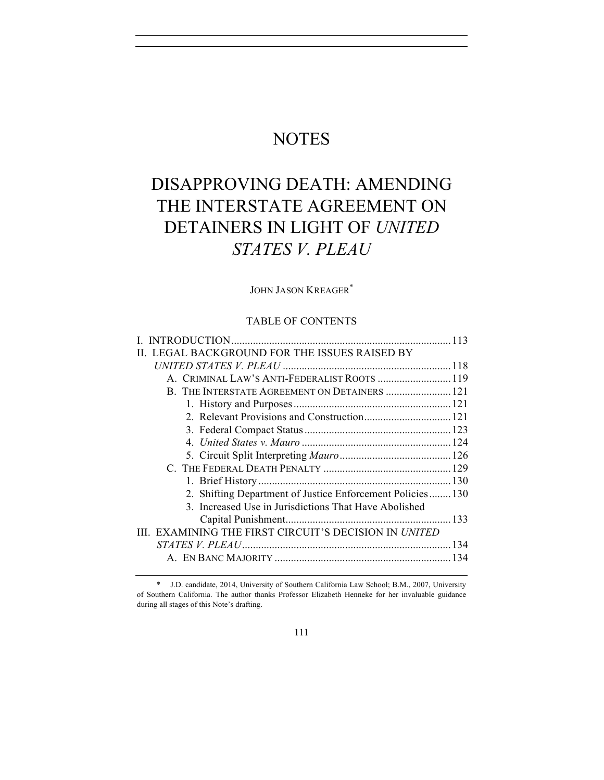## **NOTES**

# DISAPPROVING DEATH: AMENDING THE INTERSTATE AGREEMENT ON DETAINERS IN LIGHT OF *UNITED STATES V. PLEAU*

## JOHN JASON KREAGER\*

## TABLE OF CONTENTS

| II. LEGAL BACKGROUND FOR THE ISSUES RAISED BY             |  |
|-----------------------------------------------------------|--|
|                                                           |  |
| A. CRIMINAL LAW'S ANTI-FEDERALIST ROOTS  119              |  |
| B. THE INTERSTATE AGREEMENT ON DETAINERS  121             |  |
|                                                           |  |
|                                                           |  |
|                                                           |  |
|                                                           |  |
|                                                           |  |
|                                                           |  |
|                                                           |  |
| 2. Shifting Department of Justice Enforcement Policies130 |  |
| 3. Increased Use in Jurisdictions That Have Abolished     |  |
|                                                           |  |
| III. EXAMINING THE FIRST CIRCUIT'S DECISION IN UNITED     |  |
|                                                           |  |
|                                                           |  |

\* J.D. candidate, 2014, University of Southern California Law School; B.M., 2007, University of Southern California. The author thanks Professor Elizabeth Henneke for her invaluable guidance during all stages of this Note's drafting.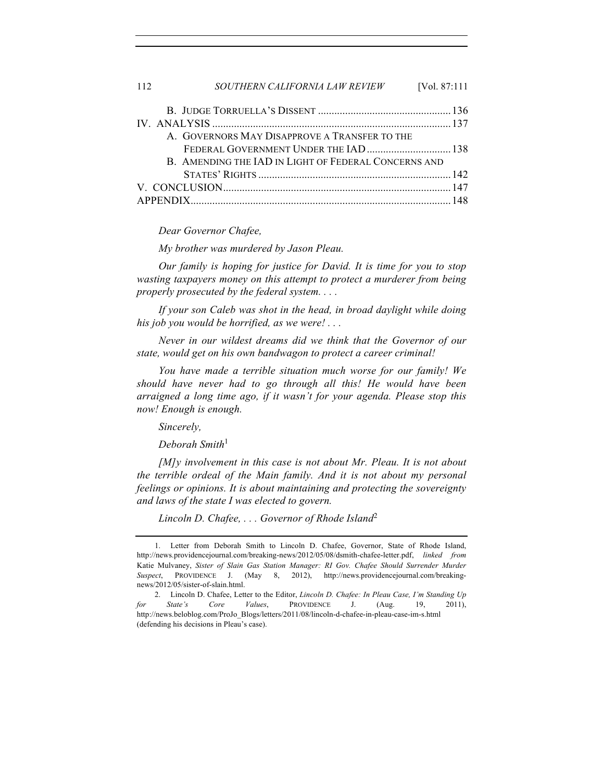| 112 | SOUTHERN CALIFORNIA LAW REVIEW                       | [Vol. 87:111 |
|-----|------------------------------------------------------|--------------|
|     |                                                      |              |
|     |                                                      |              |
|     | A. GOVERNORS MAY DISAPPROVE A TRANSFER TO THE        |              |
|     | FEDERAL GOVERNMENT UNDER THE IAD  138                |              |
|     | B. AMENDING THE IAD IN LIGHT OF FEDERAL CONCERNS AND |              |
|     |                                                      |              |
|     |                                                      |              |
|     |                                                      |              |

#### *Dear Governor Chafee,*

*My brother was murdered by Jason Pleau.* 

*Our family is hoping for justice for David. It is time for you to stop wasting taxpayers money on this attempt to protect a murderer from being properly prosecuted by the federal system. . . .*

*If your son Caleb was shot in the head, in broad daylight while doing his job you would be horrified, as we were! . . .*

*Never in our wildest dreams did we think that the Governor of our state, would get on his own bandwagon to protect a career criminal!* 

*You have made a terrible situation much worse for our family! We should have never had to go through all this! He would have been arraigned a long time ago, if it wasn't for your agenda. Please stop this now! Enough is enough.*

*Sincerely,*

*Deborah Smith*<sup>1</sup>

*[M]y involvement in this case is not about Mr. Pleau. It is not about the terrible ordeal of the Main family. And it is not about my personal feelings or opinions. It is about maintaining and protecting the sovereignty and laws of the state I was elected to govern.*

*Lincoln D. Chafee, . . . Governor of Rhode Island*<sup>2</sup>

<sup>1.</sup> Letter from Deborah Smith to Lincoln D. Chafee, Governor, State of Rhode Island, http://news.providencejournal.com/breaking-news/2012/05/08/dsmith-chafee-letter.pdf, *linked from* Katie Mulvaney, *Sister of Slain Gas Station Manager: RI Gov. Chafee Should Surrender Murder Suspect*, PROVIDENCE J. (May 8, 2012), http://news.providencejournal.com/breakingnews/2012/05/sister-of-slain.html.

<sup>2.</sup> Lincoln D. Chafee, Letter to the Editor, *Lincoln D. Chafee: In Pleau Case, I'm Standing Up for State's Core Values*, PROVIDENCE J. (Aug. 19, 2011), http://news.beloblog.com/ProJo\_Blogs/letters/2011/08/lincoln-d-chafee-in-pleau-case-im-s.html (defending his decisions in Pleau's case).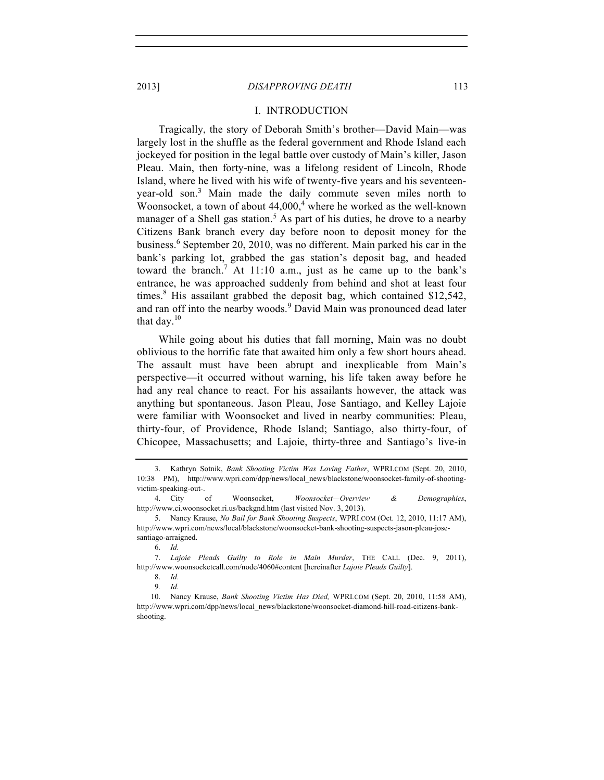#### I. INTRODUCTION

Tragically, the story of Deborah Smith's brother—David Main—was largely lost in the shuffle as the federal government and Rhode Island each jockeyed for position in the legal battle over custody of Main's killer, Jason Pleau. Main, then forty-nine, was a lifelong resident of Lincoln, Rhode Island, where he lived with his wife of twenty-five years and his seventeenyear-old son.<sup>3</sup> Main made the daily commute seven miles north to Woonsocket, a town of about  $44,000$ ,<sup>4</sup> where he worked as the well-known manager of a Shell gas station.<sup>5</sup> As part of his duties, he drove to a nearby Citizens Bank branch every day before noon to deposit money for the business.<sup>6</sup> September 20, 2010, was no different. Main parked his car in the bank's parking lot, grabbed the gas station's deposit bag, and headed toward the branch.<sup>7</sup> At 11:10 a.m., just as he came up to the bank's entrance, he was approached suddenly from behind and shot at least four times.<sup>8</sup> His assailant grabbed the deposit bag, which contained \$12,542, and ran off into the nearby woods.<sup>9</sup> David Main was pronounced dead later that day. $10$ 

While going about his duties that fall morning, Main was no doubt oblivious to the horrific fate that awaited him only a few short hours ahead. The assault must have been abrupt and inexplicable from Main's perspective—it occurred without warning, his life taken away before he had any real chance to react. For his assailants however, the attack was anything but spontaneous. Jason Pleau, Jose Santiago, and Kelley Lajoie were familiar with Woonsocket and lived in nearby communities: Pleau, thirty-four, of Providence, Rhode Island; Santiago, also thirty-four, of Chicopee, Massachusetts; and Lajoie, thirty-three and Santiago's live-in

<sup>3.</sup> Kathryn Sotnik, *Bank Shooting Victim Was Loving Father*, WPRI.COM (Sept. 20, 2010, 10:38 PM), http://www.wpri.com/dpp/news/local\_news/blackstone/woonsocket-family-of-shootingvictim-speaking-out-.

<sup>4.</sup> City of Woonsocket, *Woonsocket—Overview & Demographics*, http://www.ci.woonsocket.ri.us/backgnd.htm (last visited Nov. 3, 2013).

<sup>5.</sup> Nancy Krause, *No Bail for Bank Shooting Suspects*, WPRI.COM (Oct. 12, 2010, 11:17 AM), http://www.wpri.com/news/local/blackstone/woonsocket-bank-shooting-suspects-jason-pleau-josesantiago-arraigned.

<sup>6.</sup> *Id.*

<sup>7.</sup> *Lajoie Pleads Guilty to Role in Main Murder*, THE CALL (Dec. 9, 2011), http://www.woonsocketcall.com/node/4060#content [hereinafter *Lajoie Pleads Guilty*].

<sup>8.</sup> *Id.*

<sup>9</sup>*. Id.*

<sup>10.</sup> Nancy Krause, *Bank Shooting Victim Has Died,* WPRI*.*COM (Sept. 20, 2010, 11:58 AM), http://www.wpri.com/dpp/news/local\_news/blackstone/woonsocket-diamond-hill-road-citizens-bankshooting.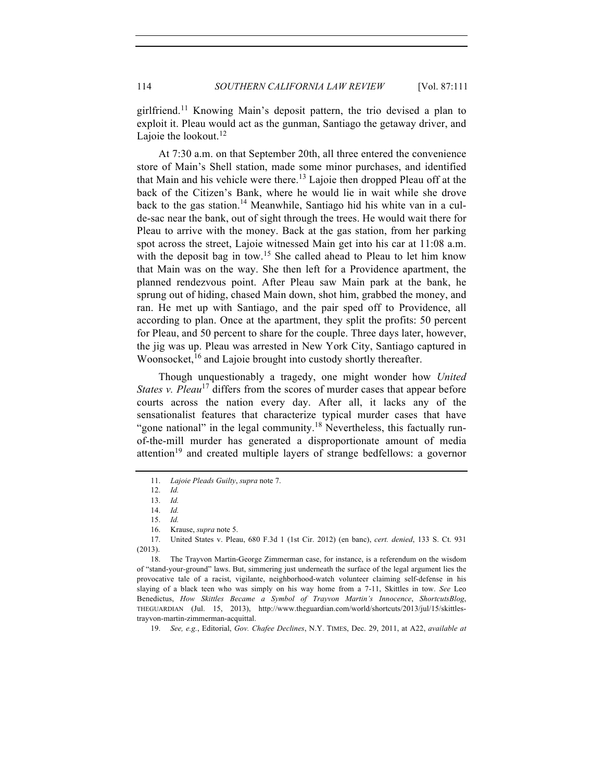girlfriend.<sup>11</sup> Knowing Main's deposit pattern, the trio devised a plan to exploit it. Pleau would act as the gunman, Santiago the getaway driver, and Lajoie the lookout. $12$ 

At 7:30 a.m. on that September 20th, all three entered the convenience store of Main's Shell station, made some minor purchases, and identified that Main and his vehicle were there.<sup>13</sup> Lajoie then dropped Pleau off at the back of the Citizen's Bank, where he would lie in wait while she drove back to the gas station.<sup>14</sup> Meanwhile, Santiago hid his white van in a culde-sac near the bank, out of sight through the trees. He would wait there for Pleau to arrive with the money. Back at the gas station, from her parking spot across the street, Lajoie witnessed Main get into his car at 11:08 a.m. with the deposit bag in tow.<sup>15</sup> She called ahead to Pleau to let him know that Main was on the way. She then left for a Providence apartment, the planned rendezvous point. After Pleau saw Main park at the bank, he sprung out of hiding, chased Main down, shot him, grabbed the money, and ran. He met up with Santiago, and the pair sped off to Providence, all according to plan. Once at the apartment, they split the profits: 50 percent for Pleau, and 50 percent to share for the couple. Three days later, however, the jig was up. Pleau was arrested in New York City, Santiago captured in Woonsocket,<sup>16</sup> and Lajoie brought into custody shortly thereafter.

Though unquestionably a tragedy, one might wonder how *United States v. Pleau*<sup>17</sup> differs from the scores of murder cases that appear before courts across the nation every day. After all, it lacks any of the sensationalist features that characterize typical murder cases that have "gone national" in the legal community.<sup>18</sup> Nevertheless, this factually runof-the-mill murder has generated a disproportionate amount of media attention<sup>19</sup> and created multiple layers of strange bedfellows: a governor

19. *See, e.g.*, Editorial, *Gov. Chafee Declines*, N.Y. TIMES, Dec. 29, 2011, at A22, *available at*

<sup>11.</sup> *Lajoie Pleads Guilty*, *supra* note 7.

<sup>12.</sup> *Id.*

<sup>13.</sup> *Id.*

<sup>14.</sup> *Id.*

<sup>15.</sup> *Id.*

<sup>16.</sup> Krause, *supra* note 5.

<sup>17.</sup> United States v. Pleau, 680 F.3d 1 (1st Cir. 2012) (en banc), *cert. denied*, 133 S. Ct. 931 (2013).

<sup>18.</sup> The Trayvon Martin-George Zimmerman case, for instance, is a referendum on the wisdom of "stand-your-ground" laws. But, simmering just underneath the surface of the legal argument lies the provocative tale of a racist, vigilante, neighborhood-watch volunteer claiming self-defense in his slaying of a black teen who was simply on his way home from a 7-11, Skittles in tow. *See* Leo Benedictus, *How Skittles Became a Symbol of Trayvon Martin's Innocence*, *ShortcutsBlog*, THEGUARDIAN (Jul. 15, 2013), http://www.theguardian.com/world/shortcuts/2013/jul/15/skittlestrayvon-martin-zimmerman-acquittal.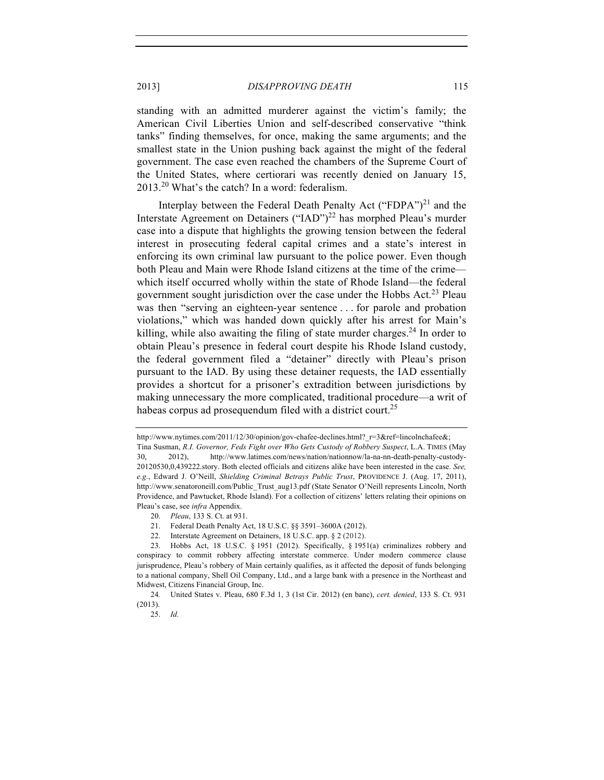standing with an admitted murderer against the victim's family; the American Civil Liberties Union and self-described conservative "think tanks" finding themselves, for once, making the same arguments; and the smallest state in the Union pushing back against the might of the federal government. The case even reached the chambers of the Supreme Court of the United States, where certiorari was recently denied on January 15, 2013.<sup>20</sup> What's the catch? In a word: federalism.

Interplay between the Federal Death Penalty Act ("FDPA")<sup>21</sup> and the Interstate Agreement on Detainers ("IAD")<sup>22</sup> has morphed Pleau's murder case into a dispute that highlights the growing tension between the federal interest in prosecuting federal capital crimes and a state's interest in enforcing its own criminal law pursuant to the police power. Even though both Pleau and Main were Rhode Island citizens at the time of the crime which itself occurred wholly within the state of Rhode Island—the federal government sought jurisdiction over the case under the Hobbs Act.<sup>23</sup> Pleau was then "serving an eighteen-year sentence . . . for parole and probation violations," which was handed down quickly after his arrest for Main's killing, while also awaiting the filing of state murder charges.<sup>24</sup> In order to obtain Pleau's presence in federal court despite his Rhode Island custody, the federal government filed a "detainer" directly with Pleau's prison pursuant to the IAD. By using these detainer requests, the IAD essentially provides a shortcut for a prisoner's extradition between jurisdictions by making unnecessary the more complicated, traditional procedure—a writ of habeas corpus ad prosequendum filed with a district court.<sup>25</sup>

22. Interstate Agreement on Detainers, 18 U.S.C. app. § 2 (2012).

http://www.nytimes.com/2011/12/30/opinion/gov-chafee-declines.html? r=3&ref=lincolnchafee&; Tina Susman, *R.I. Governor, Feds Fight over Who Gets Custody of Robbery Suspect*, L.A. TIMES (May 30, 2012), http://www.latimes.com/news/nation/nationnow/la-na-nn-death-penalty-custody-20120530,0,439222.story. Both elected officials and citizens alike have been interested in the case. *See, e.g.*, Edward J. O'Neill, *Shielding Criminal Betrays Public Trust*, PROVIDENCE J. (Aug. 17, 2011), http://www.senatoroneill.com/Public\_Trust\_aug13.pdf (State Senator O'Neill represents Lincoln, North Providence, and Pawtucket, Rhode Island). For a collection of citizens' letters relating their opinions on Pleau's case, see *infra* Appendix.

<sup>20.</sup> *Pleau*, 133 S. Ct. at 931.

<sup>21.</sup> Federal Death Penalty Act, 18 U.S.C. §§ 3591–3600A (2012).

<sup>23.</sup> Hobbs Act, 18 U.S.C. § 1951 (2012). Specifically, § 1951(a) criminalizes robbery and conspiracy to commit robbery affecting interstate commerce. Under modern commerce clause jurisprudence, Pleau's robbery of Main certainly qualifies, as it affected the deposit of funds belonging to a national company, Shell Oil Company, Ltd., and a large bank with a presence in the Northeast and Midwest, Citizens Financial Group, Inc.

<sup>24</sup>*.* United States v. Pleau, 680 F.3d 1, 3 (1st Cir. 2012) (en banc), *cert. denied*, 133 S. Ct. 931 (2013).

<sup>25.</sup> *Id.*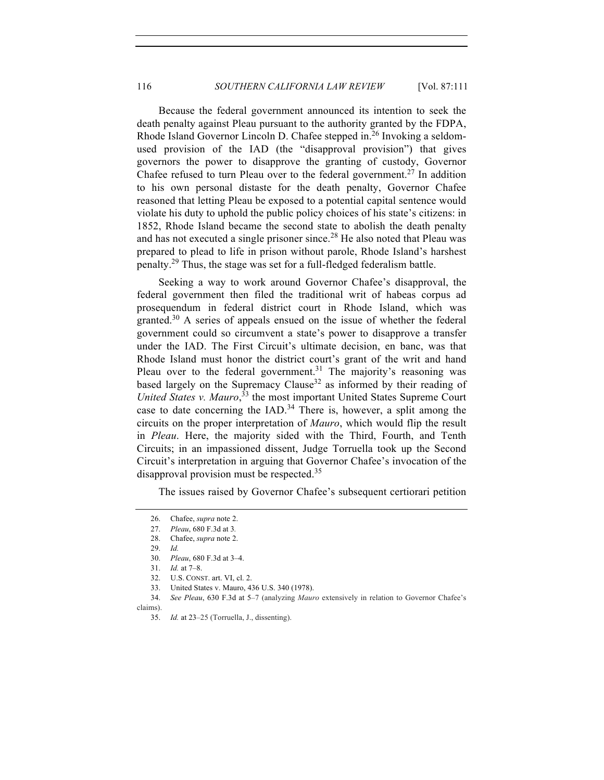Because the federal government announced its intention to seek the death penalty against Pleau pursuant to the authority granted by the FDPA, Rhode Island Governor Lincoln D. Chafee stepped in.<sup>26</sup> Invoking a seldomused provision of the IAD (the "disapproval provision") that gives governors the power to disapprove the granting of custody, Governor Chafee refused to turn Pleau over to the federal government.<sup>27</sup> In addition to his own personal distaste for the death penalty, Governor Chafee reasoned that letting Pleau be exposed to a potential capital sentence would violate his duty to uphold the public policy choices of his state's citizens: in 1852, Rhode Island became the second state to abolish the death penalty and has not executed a single prisoner since.<sup>28</sup> He also noted that Pleau was prepared to plead to life in prison without parole, Rhode Island's harshest penalty.<sup>29</sup> Thus, the stage was set for a full-fledged federalism battle.

Seeking a way to work around Governor Chafee's disapproval, the federal government then filed the traditional writ of habeas corpus ad prosequendum in federal district court in Rhode Island, which was granted.<sup>30</sup> A series of appeals ensued on the issue of whether the federal government could so circumvent a state's power to disapprove a transfer under the IAD. The First Circuit's ultimate decision, en banc, was that Rhode Island must honor the district court's grant of the writ and hand Pleau over to the federal government.<sup>31</sup> The majority's reasoning was based largely on the Supremacy Clause<sup>32</sup> as informed by their reading of *United States v. Mauro*, <sup>33</sup> the most important United States Supreme Court case to date concerning the  $IAD$ .<sup>34</sup> There is, however, a split among the circuits on the proper interpretation of *Mauro*, which would flip the result in *Pleau*. Here, the majority sided with the Third, Fourth, and Tenth Circuits; in an impassioned dissent, Judge Torruella took up the Second Circuit's interpretation in arguing that Governor Chafee's invocation of the disapproval provision must be respected.<sup>35</sup>

The issues raised by Governor Chafee's subsequent certiorari petition

- 33. United States v. Mauro, 436 U.S. 340 (1978).
- 34. *See Pleau*, 630 F.3d at 5–7 (analyzing *Mauro* extensively in relation to Governor Chafee's claims).

<sup>26.</sup> Chafee, *supra* note 2.

<sup>27.</sup> *Pleau*, 680 F.3d at 3*.*

<sup>28.</sup> Chafee, *supra* note 2.

<sup>29.</sup> *Id.*

<sup>30.</sup> *Pleau*, 680 F.3d at 3–4.

<sup>31.</sup> *Id.* at 7–8.

<sup>32.</sup> U.S. CONST. art. VI, cl. 2.

<sup>35.</sup> *Id.* at 23–25 (Torruella, J., dissenting).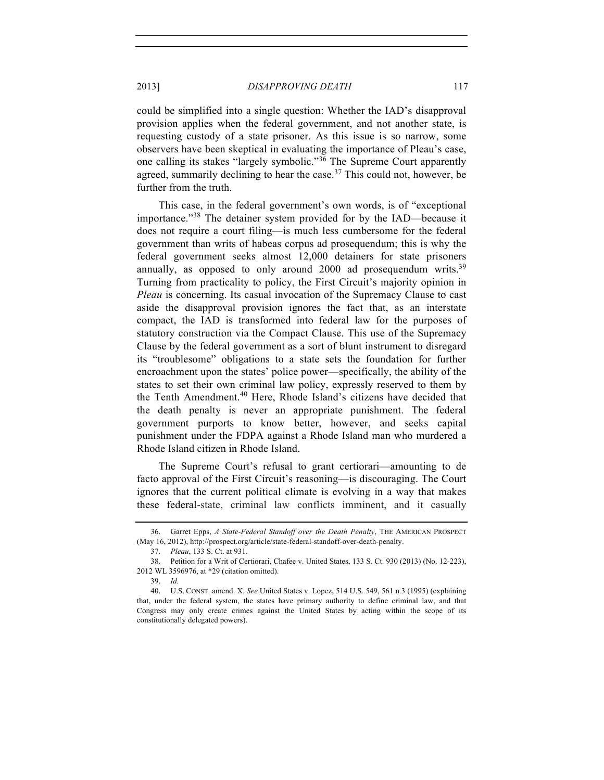could be simplified into a single question: Whether the IAD's disapproval provision applies when the federal government, and not another state, is requesting custody of a state prisoner. As this issue is so narrow, some observers have been skeptical in evaluating the importance of Pleau's case, one calling its stakes "largely symbolic."<sup>36</sup> The Supreme Court apparently agreed, summarily declining to hear the case.<sup>37</sup> This could not, however, be further from the truth.

This case, in the federal government's own words, is of "exceptional importance."<sup>38</sup> The detainer system provided for by the IAD—because it does not require a court filing—is much less cumbersome for the federal government than writs of habeas corpus ad prosequendum; this is why the federal government seeks almost 12,000 detainers for state prisoners annually, as opposed to only around  $2000$  ad prosequendum writs.<sup>39</sup> Turning from practicality to policy, the First Circuit's majority opinion in *Pleau* is concerning. Its casual invocation of the Supremacy Clause to cast aside the disapproval provision ignores the fact that, as an interstate compact, the IAD is transformed into federal law for the purposes of statutory construction via the Compact Clause. This use of the Supremacy Clause by the federal government as a sort of blunt instrument to disregard its "troublesome" obligations to a state sets the foundation for further encroachment upon the states' police power—specifically, the ability of the states to set their own criminal law policy, expressly reserved to them by the Tenth Amendment.<sup>40</sup> Here, Rhode Island's citizens have decided that the death penalty is never an appropriate punishment. The federal government purports to know better, however, and seeks capital punishment under the FDPA against a Rhode Island man who murdered a Rhode Island citizen in Rhode Island.

The Supreme Court's refusal to grant certiorari—amounting to de facto approval of the First Circuit's reasoning—is discouraging. The Court ignores that the current political climate is evolving in a way that makes these federal-state, criminal law conflicts imminent, and it casually

<sup>36.</sup> Garret Epps, *A State-Federal Standoff over the Death Penalty*, THE AMERICAN PROSPECT (May 16, 2012), http://prospect.org/article/state-federal-standoff-over-death-penalty.

<sup>37.</sup> *Pleau*, 133 S. Ct. at 931.

<sup>38.</sup> Petition for a Writ of Certiorari, Chafee v. United States, 133 S. Ct. 930 (2013) (No. 12-223), 2012 WL 3596976, at \*29 (citation omitted).

<sup>39.</sup> *Id.*

<sup>40.</sup> U.S. CONST. amend. X. *See* United States v. Lopez, 514 U.S. 549, 561 n.3 (1995) (explaining that, under the federal system, the states have primary authority to define criminal law, and that Congress may only create crimes against the United States by acting within the scope of its constitutionally delegated powers).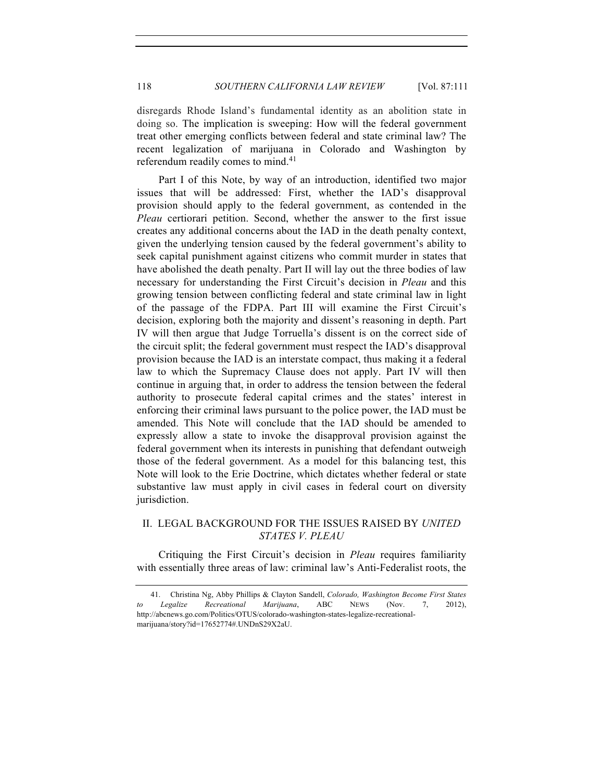disregards Rhode Island's fundamental identity as an abolition state in doing so. The implication is sweeping: How will the federal government treat other emerging conflicts between federal and state criminal law? The recent legalization of marijuana in Colorado and Washington by referendum readily comes to mind.<sup>41</sup>

Part I of this Note, by way of an introduction, identified two major issues that will be addressed: First, whether the IAD's disapproval provision should apply to the federal government, as contended in the *Pleau* certiorari petition. Second, whether the answer to the first issue creates any additional concerns about the IAD in the death penalty context, given the underlying tension caused by the federal government's ability to seek capital punishment against citizens who commit murder in states that have abolished the death penalty. Part II will lay out the three bodies of law necessary for understanding the First Circuit's decision in *Pleau* and this growing tension between conflicting federal and state criminal law in light of the passage of the FDPA. Part III will examine the First Circuit's decision, exploring both the majority and dissent's reasoning in depth. Part IV will then argue that Judge Torruella's dissent is on the correct side of the circuit split; the federal government must respect the IAD's disapproval provision because the IAD is an interstate compact, thus making it a federal law to which the Supremacy Clause does not apply. Part IV will then continue in arguing that, in order to address the tension between the federal authority to prosecute federal capital crimes and the states' interest in enforcing their criminal laws pursuant to the police power, the IAD must be amended. This Note will conclude that the IAD should be amended to expressly allow a state to invoke the disapproval provision against the federal government when its interests in punishing that defendant outweigh those of the federal government. As a model for this balancing test, this Note will look to the Erie Doctrine, which dictates whether federal or state substantive law must apply in civil cases in federal court on diversity jurisdiction.

## II. LEGAL BACKGROUND FOR THE ISSUES RAISED BY *UNITED STATES V. PLEAU*

Critiquing the First Circuit's decision in *Pleau* requires familiarity with essentially three areas of law: criminal law's Anti-Federalist roots, the

<sup>41.</sup> Christina Ng, Abby Phillips & Clayton Sandell, *Colorado, Washington Become First States to Legalize Recreational Marijuana*, ABC NEWS (Nov. 7, 2012), http://abcnews.go.com/Politics/OTUS/colorado-washington-states-legalize-recreationalmarijuana/story?id=17652774#.UNDnS29X2aU.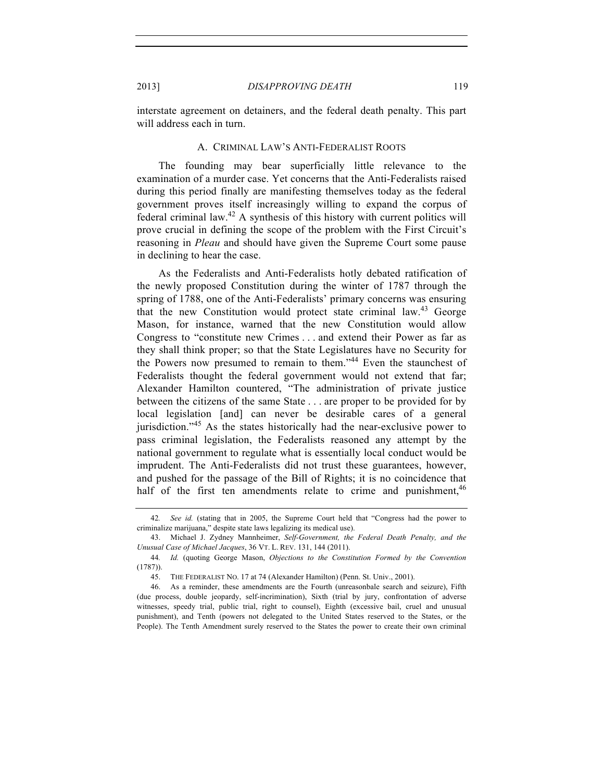interstate agreement on detainers, and the federal death penalty. This part will address each in turn.

#### A. CRIMINAL LAW'S ANTI-FEDERALIST ROOTS

The founding may bear superficially little relevance to the examination of a murder case. Yet concerns that the Anti-Federalists raised during this period finally are manifesting themselves today as the federal government proves itself increasingly willing to expand the corpus of federal criminal law.<sup>42</sup> A synthesis of this history with current politics will prove crucial in defining the scope of the problem with the First Circuit's reasoning in *Pleau* and should have given the Supreme Court some pause in declining to hear the case.

As the Federalists and Anti-Federalists hotly debated ratification of the newly proposed Constitution during the winter of 1787 through the spring of 1788, one of the Anti-Federalists' primary concerns was ensuring that the new Constitution would protect state criminal law.<sup>43</sup> George Mason, for instance, warned that the new Constitution would allow Congress to "constitute new Crimes . . . and extend their Power as far as they shall think proper; so that the State Legislatures have no Security for the Powers now presumed to remain to them."<sup>44</sup> Even the staunchest of Federalists thought the federal government would not extend that far; Alexander Hamilton countered, "The administration of private justice between the citizens of the same State . . . are proper to be provided for by local legislation [and] can never be desirable cares of a general jurisdiction."<sup>45</sup> As the states historically had the near-exclusive power to pass criminal legislation, the Federalists reasoned any attempt by the national government to regulate what is essentially local conduct would be imprudent. The Anti-Federalists did not trust these guarantees, however, and pushed for the passage of the Bill of Rights; it is no coincidence that half of the first ten amendments relate to crime and punishment,  $46$ 

<sup>42</sup>*. See id.* (stating that in 2005, the Supreme Court held that "Congress had the power to criminalize marijuana," despite state laws legalizing its medical use).

<sup>43.</sup> Michael J. Zydney Mannheimer, *Self-Government, the Federal Death Penalty, and the Unusual Case of Michael Jacques*, 36 VT. L. REV. 131, 144 (2011).

<sup>44</sup>*. Id.* (quoting George Mason, *Objections to the Constitution Formed by the Convention* (1787)).

<sup>45.</sup> THE FEDERALIST NO. 17 at 74 (Alexander Hamilton) (Penn. St. Univ., 2001).

<sup>46.</sup> As a reminder, these amendments are the Fourth (unreasonbale search and seizure), Fifth (due process, double jeopardy, self-incrimination), Sixth (trial by jury, confrontation of adverse witnesses, speedy trial, public trial, right to counsel), Eighth (excessive bail, cruel and unusual punishment), and Tenth (powers not delegated to the United States reserved to the States, or the People). The Tenth Amendment surely reserved to the States the power to create their own criminal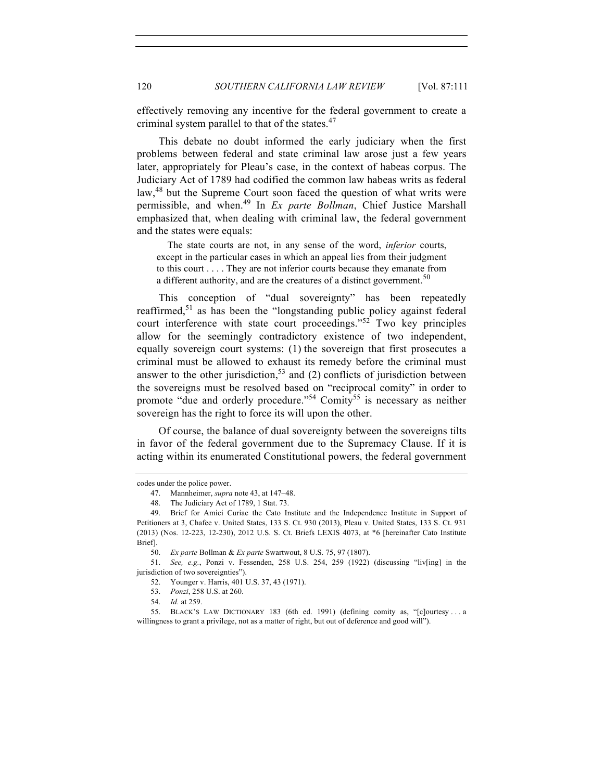effectively removing any incentive for the federal government to create a criminal system parallel to that of the states.<sup>47</sup>

This debate no doubt informed the early judiciary when the first problems between federal and state criminal law arose just a few years later, appropriately for Pleau's case, in the context of habeas corpus. The Judiciary Act of 1789 had codified the common law habeas writs as federal law,<sup>48</sup> but the Supreme Court soon faced the question of what writs were permissible, and when.<sup>49</sup> In *Ex parte Bollman*, Chief Justice Marshall emphasized that, when dealing with criminal law, the federal government and the states were equals:

The state courts are not, in any sense of the word, *inferior* courts, except in the particular cases in which an appeal lies from their judgment to this court . . . . They are not inferior courts because they emanate from a different authority, and are the creatures of a distinct government.<sup>50</sup>

This conception of "dual sovereignty" has been repeatedly reaffirmed,<sup>51</sup> as has been the "longstanding public policy against federal court interference with state court proceedings."<sup>52</sup> Two key principles allow for the seemingly contradictory existence of two independent, equally sovereign court systems: (1) the sovereign that first prosecutes a criminal must be allowed to exhaust its remedy before the criminal must answer to the other jurisdiction,<sup>53</sup> and (2) conflicts of jurisdiction between the sovereigns must be resolved based on "reciprocal comity" in order to promote "due and orderly procedure."<sup>54</sup> Comity<sup>55</sup> is necessary as neither sovereign has the right to force its will upon the other.

Of course, the balance of dual sovereignty between the sovereigns tilts in favor of the federal government due to the Supremacy Clause. If it is acting within its enumerated Constitutional powers, the federal government

codes under the police power.

<sup>47.</sup> Mannheimer, *supra* note 43, at 147–48.

<sup>48.</sup> The Judiciary Act of 1789, 1 Stat. 73.

<sup>49.</sup> Brief for Amici Curiae the Cato Institute and the Independence Institute in Support of Petitioners at 3, Chafee v. United States, 133 S. Ct. 930 (2013), Pleau v. United States, 133 S. Ct. 931 (2013) (Nos. 12-223, 12-230), 2012 U.S. S. Ct. Briefs LEXIS 4073, at \*6 [hereinafter Cato Institute Brief].

<sup>50.</sup> *Ex parte* Bollman & *Ex parte* Swartwout, 8 U.S. 75, 97 (1807).

<sup>51.</sup> *See, e.g.*, Ponzi v. Fessenden, 258 U.S. 254, 259 (1922) (discussing "liv[ing] in the jurisdiction of two sovereignties").

<sup>52.</sup> Younger v. Harris, 401 U.S. 37, 43 (1971).

<sup>53.</sup> *Ponzi*, 258 U.S. at 260.

<sup>54.</sup> *Id.* at 259.

<sup>55.</sup> BLACK'S LAW DICTIONARY 183 (6th ed. 1991) (defining comity as, "[c]ourtesy . . . a willingness to grant a privilege, not as a matter of right, but out of deference and good will").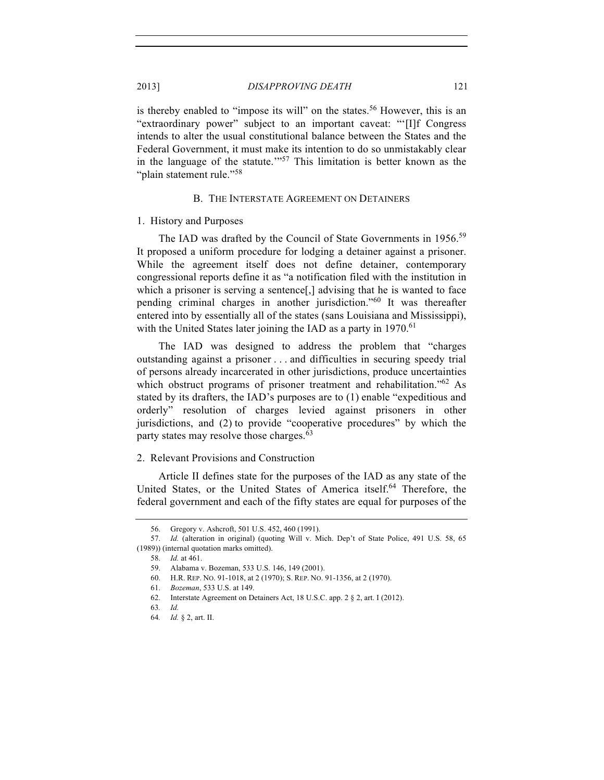is thereby enabled to "impose its will" on the states.<sup>56</sup> However, this is an "extraordinary power" subject to an important caveat: "'[I]f Congress intends to alter the usual constitutional balance between the States and the Federal Government, it must make its intention to do so unmistakably clear in the language of the statute.'"<sup>57</sup> This limitation is better known as the "plain statement rule."<sup>58</sup>

#### B. THE INTERSTATE AGREEMENT ON DETAINERS

#### 1. History and Purposes

The IAD was drafted by the Council of State Governments in 1956.<sup>59</sup> It proposed a uniform procedure for lodging a detainer against a prisoner. While the agreement itself does not define detainer, contemporary congressional reports define it as "a notification filed with the institution in which a prisoner is serving a sentence. advising that he is wanted to face pending criminal charges in another jurisdiction."<sup>60</sup> It was thereafter entered into by essentially all of the states (sans Louisiana and Mississippi), with the United States later joining the IAD as a party in  $1970$ .<sup>61</sup>

The IAD was designed to address the problem that "charges outstanding against a prisoner . . . and difficulties in securing speedy trial of persons already incarcerated in other jurisdictions, produce uncertainties which obstruct programs of prisoner treatment and rehabilitation."<sup>62</sup> As stated by its drafters, the IAD's purposes are to (1) enable "expeditious and orderly" resolution of charges levied against prisoners in other jurisdictions, and (2) to provide "cooperative procedures" by which the party states may resolve those charges.<sup>63</sup>

#### 2. Relevant Provisions and Construction

Article II defines state for the purposes of the IAD as any state of the United States, or the United States of America itself.<sup>64</sup> Therefore, the federal government and each of the fifty states are equal for purposes of the

<sup>56.</sup> Gregory v. Ashcroft, 501 U.S. 452, 460 (1991).

<sup>57.</sup> *Id.* (alteration in original) (quoting Will v. Mich. Dep't of State Police, 491 U.S. 58, 65 (1989)) (internal quotation marks omitted).

<sup>58.</sup> *Id.* at 461.

<sup>59.</sup> Alabama v. Bozeman, 533 U.S. 146, 149 (2001).

<sup>60.</sup> H.R. REP. NO. 91-1018, at 2 (1970); S. REP. NO. 91-1356, at 2 (1970).

<sup>61.</sup> *Bozeman*, 533 U.S. at 149.

<sup>62.</sup> Interstate Agreement on Detainers Act, 18 U.S.C. app. 2 § 2, art. I (2012).

<sup>63</sup>*. Id.*

<sup>64</sup>*. Id.* § 2, art. II.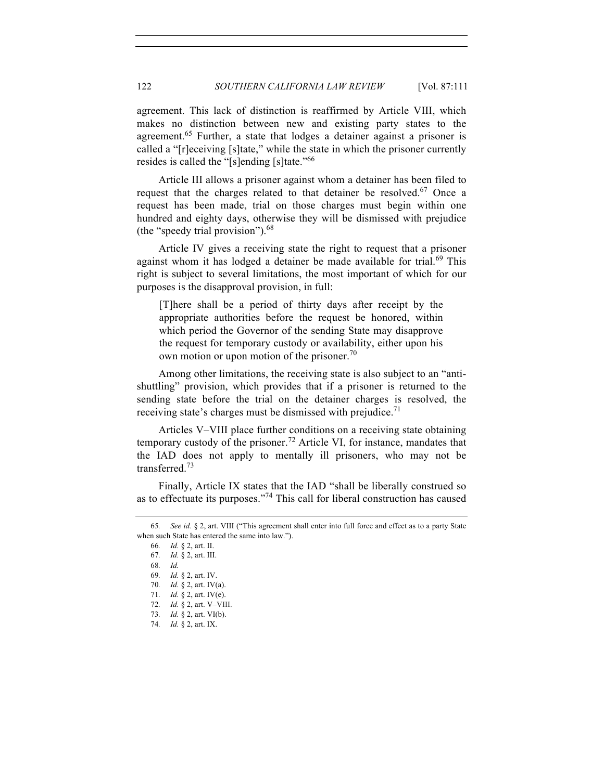agreement. This lack of distinction is reaffirmed by Article VIII, which makes no distinction between new and existing party states to the agreement.<sup>65</sup> Further, a state that lodges a detainer against a prisoner is called a "[r]eceiving [s]tate," while the state in which the prisoner currently resides is called the "[s]ending [s]tate."<sup>66</sup>

Article III allows a prisoner against whom a detainer has been filed to request that the charges related to that detainer be resolved.<sup>67</sup> Once a request has been made, trial on those charges must begin within one hundred and eighty days, otherwise they will be dismissed with prejudice (the "speedy trial provision"). $68$ 

Article IV gives a receiving state the right to request that a prisoner against whom it has lodged a detainer be made available for trial.<sup>69</sup> This right is subject to several limitations, the most important of which for our purposes is the disapproval provision, in full:

[T]here shall be a period of thirty days after receipt by the appropriate authorities before the request be honored, within which period the Governor of the sending State may disapprove the request for temporary custody or availability, either upon his own motion or upon motion of the prisoner.<sup>70</sup>

Among other limitations, the receiving state is also subject to an "antishuttling" provision, which provides that if a prisoner is returned to the sending state before the trial on the detainer charges is resolved, the receiving state's charges must be dismissed with prejudice.<sup>71</sup>

Articles V–VIII place further conditions on a receiving state obtaining temporary custody of the prisoner.<sup>72</sup> Article VI, for instance, mandates that the IAD does not apply to mentally ill prisoners, who may not be transferred.<sup>73</sup>

Finally, Article IX states that the IAD "shall be liberally construed so as to effectuate its purposes."74 This call for liberal construction has caused

<sup>65</sup>*. See id.* § 2, art. VIII ("This agreement shall enter into full force and effect as to a party State when such State has entered the same into law.").

<sup>66</sup>*. Id.* § 2, art. II.

<sup>67</sup>*. Id.* § 2, art. III.

<sup>68</sup>*. Id.*

<sup>69</sup>*. Id.* § 2, art. IV.

<sup>70</sup>*. Id.* § 2, art. IV(a).

<sup>71</sup>*. Id.* § 2, art. IV(e).

<sup>72</sup>*. Id.* § 2, art. V–VIII.

<sup>73</sup>*. Id.* § 2, art. VI(b).

<sup>74</sup>*. Id.* § 2, art. IX.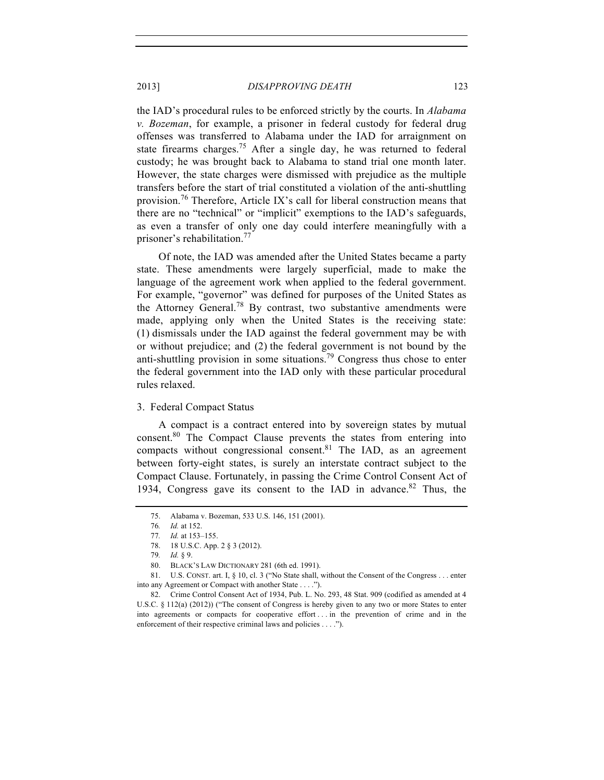the IAD's procedural rules to be enforced strictly by the courts. In *Alabama v. Bozeman*, for example, a prisoner in federal custody for federal drug offenses was transferred to Alabama under the IAD for arraignment on state firearms charges.<sup>75</sup> After a single day, he was returned to federal custody; he was brought back to Alabama to stand trial one month later. However, the state charges were dismissed with prejudice as the multiple transfers before the start of trial constituted a violation of the anti-shuttling provision.<sup>76</sup> Therefore, Article IX's call for liberal construction means that there are no "technical" or "implicit" exemptions to the IAD's safeguards, as even a transfer of only one day could interfere meaningfully with a prisoner's rehabilitation.<sup>77</sup>

Of note, the IAD was amended after the United States became a party state. These amendments were largely superficial, made to make the language of the agreement work when applied to the federal government. For example, "governor" was defined for purposes of the United States as the Attorney General.<sup>78</sup> By contrast, two substantive amendments were made, applying only when the United States is the receiving state: (1) dismissals under the IAD against the federal government may be with or without prejudice; and (2) the federal government is not bound by the anti-shuttling provision in some situations.79 Congress thus chose to enter the federal government into the IAD only with these particular procedural rules relaxed.

#### 3. Federal Compact Status

A compact is a contract entered into by sovereign states by mutual consent.<sup>80</sup> The Compact Clause prevents the states from entering into compacts without congressional consent. $81$  The IAD, as an agreement between forty-eight states, is surely an interstate contract subject to the Compact Clause. Fortunately, in passing the Crime Control Consent Act of 1934, Congress gave its consent to the IAD in advance.<sup>82</sup> Thus, the

<sup>75.</sup> Alabama v. Bozeman, 533 U.S. 146, 151 (2001).

<sup>76</sup>*. Id.* at 152.

<sup>77</sup>*. Id.* at 153–155.

<sup>78.</sup> 18 U.S.C. App. 2 § 3 (2012).

<sup>79</sup>*. Id.* § 9.

<sup>80.</sup> BLACK'S LAW DICTIONARY 281 (6th ed. 1991).

<sup>81.</sup> U.S. CONST. art. I, § 10, cl. 3 ("No State shall, without the Consent of the Congress . . . enter into any Agreement or Compact with another State . . . .").

<sup>82.</sup> Crime Control Consent Act of 1934, Pub. L. No. 293, 48 Stat. 909 (codified as amended at 4 U.S.C. § 112(a) (2012)) ("The consent of Congress is hereby given to any two or more States to enter into agreements or compacts for cooperative effort . . . in the prevention of crime and in the enforcement of their respective criminal laws and policies . . . .").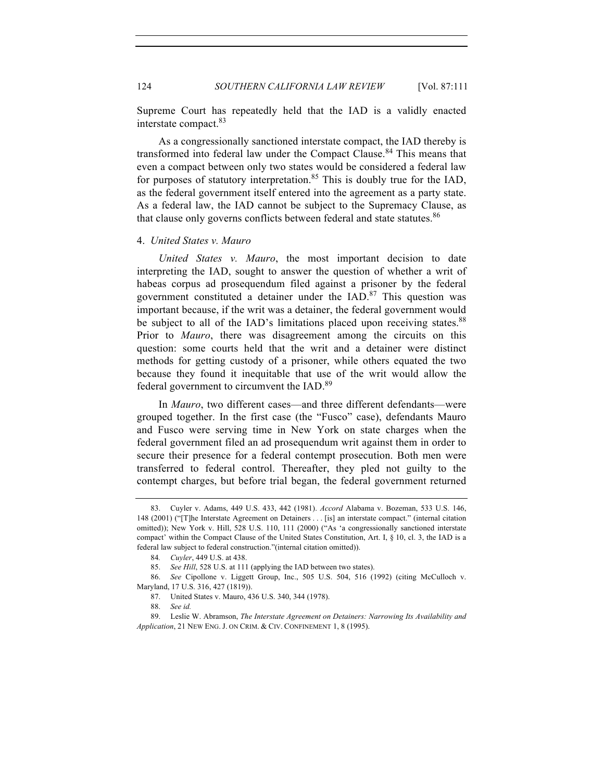Supreme Court has repeatedly held that the IAD is a validly enacted interstate compact.<sup>83</sup>

As a congressionally sanctioned interstate compact, the IAD thereby is transformed into federal law under the Compact Clause.<sup>84</sup> This means that even a compact between only two states would be considered a federal law for purposes of statutory interpretation.<sup>85</sup> This is doubly true for the IAD, as the federal government itself entered into the agreement as a party state. As a federal law, the IAD cannot be subject to the Supremacy Clause, as that clause only governs conflicts between federal and state statutes.<sup>86</sup>

#### 4. *United States v. Mauro*

*United States v. Mauro*, the most important decision to date interpreting the IAD, sought to answer the question of whether a writ of habeas corpus ad prosequendum filed against a prisoner by the federal government constituted a detainer under the  $IAD$ .<sup>87</sup> This question was important because, if the writ was a detainer, the federal government would be subject to all of the IAD's limitations placed upon receiving states.<sup>88</sup> Prior to *Mauro*, there was disagreement among the circuits on this question: some courts held that the writ and a detainer were distinct methods for getting custody of a prisoner, while others equated the two because they found it inequitable that use of the writ would allow the federal government to circumvent the IAD.89

In *Mauro*, two different cases—and three different defendants—were grouped together. In the first case (the "Fusco" case), defendants Mauro and Fusco were serving time in New York on state charges when the federal government filed an ad prosequendum writ against them in order to secure their presence for a federal contempt prosecution. Both men were transferred to federal control. Thereafter, they pled not guilty to the contempt charges, but before trial began, the federal government returned

<sup>83.</sup> Cuyler v. Adams, 449 U.S. 433, 442 (1981). *Accord* Alabama v. Bozeman, 533 U.S. 146, 148 (2001) ("[T]he Interstate Agreement on Detainers . . . [is] an interstate compact." (internal citation omitted)); New York v. Hill, 528 U.S. 110, 111 (2000) ("As 'a congressionally sanctioned interstate compact' within the Compact Clause of the United States Constitution, Art. I, § 10, cl. 3, the IAD is a federal law subject to federal construction."(internal citation omitted)).

<sup>84</sup>*. Cuyler*, 449 U.S. at 438.

<sup>85.</sup> *See Hill*, 528 U.S. at 111 (applying the IAD between two states).

<sup>86.</sup> *See* Cipollone v. Liggett Group, Inc., 505 U.S. 504, 516 (1992) (citing McCulloch v. Maryland, 17 U.S. 316, 427 (1819)).

<sup>87.</sup> United States v. Mauro, 436 U.S. 340, 344 (1978).

<sup>88.</sup> *See id.*

<sup>89.</sup> Leslie W. Abramson, *The Interstate Agreement on Detainers: Narrowing Its Availability and Application*, 21 NEW ENG. J. ON CRIM. & CIV. CONFINEMENT 1, 8 (1995).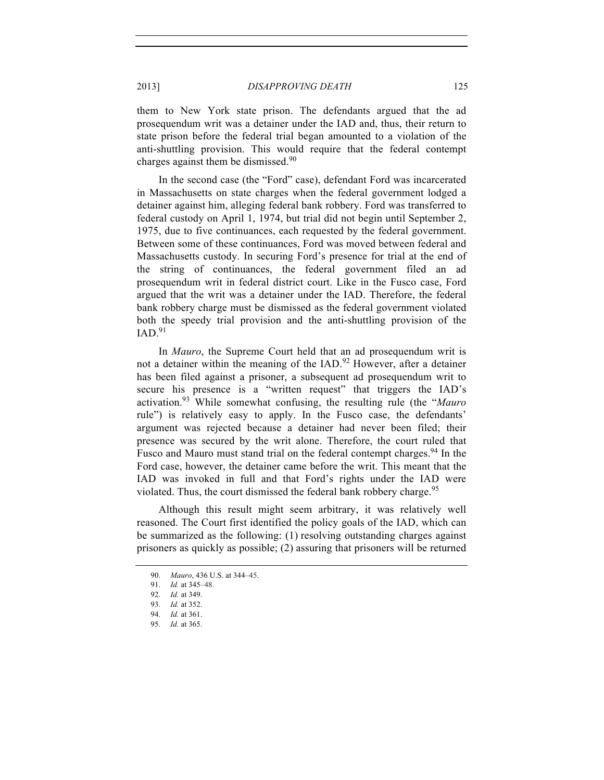them to New York state prison. The defendants argued that the ad prosequendum writ was a detainer under the IAD and, thus, their return to state prison before the federal trial began amounted to a violation of the anti-shuttling provision. This would require that the federal contempt charges against them be dismissed. $90$ 

In the second case (the "Ford" case), defendant Ford was incarcerated in Massachusetts on state charges when the federal government lodged a detainer against him, alleging federal bank robbery. Ford was transferred to federal custody on April 1, 1974, but trial did not begin until September 2, 1975, due to five continuances, each requested by the federal government. Between some of these continuances, Ford was moved between federal and Massachusetts custody. In securing Ford's presence for trial at the end of the string of continuances, the federal government filed an ad prosequendum writ in federal district court. Like in the Fusco case, Ford argued that the writ was a detainer under the IAD. Therefore, the federal bank robbery charge must be dismissed as the federal government violated both the speedy trial provision and the anti-shuttling provision of the  $IAD$ <sup>91</sup>

In *Mauro*, the Supreme Court held that an ad prosequendum writ is not a detainer within the meaning of the IAD.<sup>92</sup> However, after a detainer has been filed against a prisoner, a subsequent ad prosequendum writ to secure his presence is a "written request" that triggers the IAD's activation.<sup>93</sup> While somewhat confusing, the resulting rule (the "*Mauro* rule") is relatively easy to apply. In the Fusco case, the defendants' argument was rejected because a detainer had never been filed; their presence was secured by the writ alone. Therefore, the court ruled that Fusco and Mauro must stand trial on the federal contempt charges.<sup>94</sup> In the Ford case, however, the detainer came before the writ. This meant that the IAD was invoked in full and that Ford's rights under the IAD were violated. Thus, the court dismissed the federal bank robbery charge.<sup>95</sup>

Although this result might seem arbitrary, it was relatively well reasoned. The Court first identified the policy goals of the IAD, which can be summarized as the following: (1) resolving outstanding charges against prisoners as quickly as possible; (2) assuring that prisoners will be returned

<sup>90.</sup> *Mauro*, 436 U.S. at 344–45.

<sup>91.</sup> *Id.* at 345–48.

<sup>92.</sup> *Id.* at 349.

<sup>93.</sup> *Id.* at 352.

<sup>94.</sup> *Id.* at 361.

<sup>95.</sup> *Id.* at 365.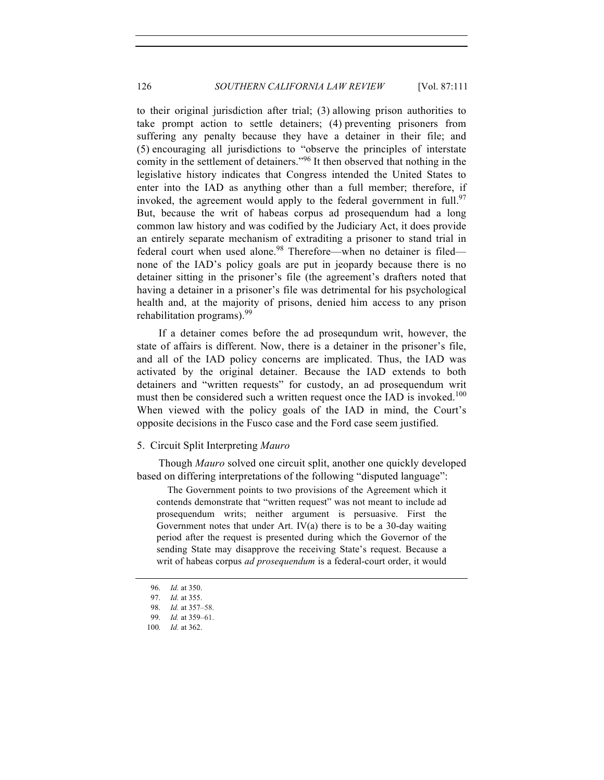to their original jurisdiction after trial; (3) allowing prison authorities to take prompt action to settle detainers; (4) preventing prisoners from suffering any penalty because they have a detainer in their file; and (5) encouraging all jurisdictions to "observe the principles of interstate comity in the settlement of detainers."<sup>96</sup> It then observed that nothing in the legislative history indicates that Congress intended the United States to enter into the IAD as anything other than a full member; therefore, if invoked, the agreement would apply to the federal government in full.<sup>97</sup> But, because the writ of habeas corpus ad prosequendum had a long common law history and was codified by the Judiciary Act, it does provide an entirely separate mechanism of extraditing a prisoner to stand trial in federal court when used alone.<sup>98</sup> Therefore—when no detainer is filed none of the IAD's policy goals are put in jeopardy because there is no detainer sitting in the prisoner's file (the agreement's drafters noted that having a detainer in a prisoner's file was detrimental for his psychological health and, at the majority of prisons, denied him access to any prison rehabilitation programs).<sup>99</sup>

If a detainer comes before the ad prosequndum writ, however, the state of affairs is different. Now, there is a detainer in the prisoner's file, and all of the IAD policy concerns are implicated. Thus, the IAD was activated by the original detainer. Because the IAD extends to both detainers and "written requests" for custody, an ad prosequendum writ must then be considered such a written request once the IAD is invoked.<sup>100</sup> When viewed with the policy goals of the IAD in mind, the Court's opposite decisions in the Fusco case and the Ford case seem justified.

#### 5. Circuit Split Interpreting *Mauro*

Though *Mauro* solved one circuit split, another one quickly developed based on differing interpretations of the following "disputed language":

The Government points to two provisions of the Agreement which it contends demonstrate that "written request" was not meant to include ad prosequendum writs; neither argument is persuasive. First the Government notes that under Art. IV(a) there is to be a 30-day waiting period after the request is presented during which the Governor of the sending State may disapprove the receiving State's request. Because a writ of habeas corpus *ad prosequendum* is a federal-court order, it would

<sup>96.</sup> *Id.* at 350.

<sup>97.</sup> *Id.* at 355.

<sup>98.</sup> *Id.* at 357–58.

<sup>99.</sup> *Id.* at 359–61.

<sup>100.</sup> *Id.* at 362.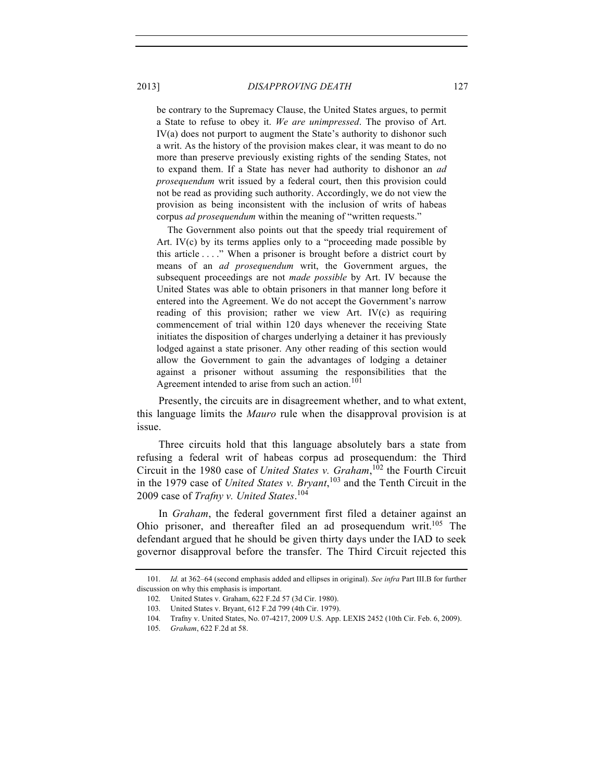be contrary to the Supremacy Clause, the United States argues, to permit a State to refuse to obey it. *We are unimpressed*. The proviso of Art. IV(a) does not purport to augment the State's authority to dishonor such a writ. As the history of the provision makes clear, it was meant to do no more than preserve previously existing rights of the sending States, not to expand them. If a State has never had authority to dishonor an *ad prosequendum* writ issued by a federal court, then this provision could not be read as providing such authority. Accordingly, we do not view the provision as being inconsistent with the inclusion of writs of habeas corpus *ad prosequendum* within the meaning of "written requests."

The Government also points out that the speedy trial requirement of Art. IV(c) by its terms applies only to a "proceeding made possible by this article . . . ." When a prisoner is brought before a district court by means of an *ad prosequendum* writ, the Government argues, the subsequent proceedings are not *made possible* by Art. IV because the United States was able to obtain prisoners in that manner long before it entered into the Agreement. We do not accept the Government's narrow reading of this provision; rather we view Art. IV(c) as requiring commencement of trial within 120 days whenever the receiving State initiates the disposition of charges underlying a detainer it has previously lodged against a state prisoner. Any other reading of this section would allow the Government to gain the advantages of lodging a detainer against a prisoner without assuming the responsibilities that the Agreement intended to arise from such an action.<sup>101</sup>

Presently, the circuits are in disagreement whether, and to what extent, this language limits the *Mauro* rule when the disapproval provision is at issue.

Three circuits hold that this language absolutely bars a state from refusing a federal writ of habeas corpus ad prosequendum: the Third Circuit in the 1980 case of *United States v. Graham*, <sup>102</sup> the Fourth Circuit in the 1979 case of *United States v. Bryant*, <sup>103</sup> and the Tenth Circuit in the 2009 case of *Trafny v. United States*. 104

In *Graham*, the federal government first filed a detainer against an Ohio prisoner, and thereafter filed an ad prosequendum writ.<sup>105</sup> The defendant argued that he should be given thirty days under the IAD to seek governor disapproval before the transfer. The Third Circuit rejected this

<sup>101.</sup> *Id.* at 362–64 (second emphasis added and ellipses in original). *See infra* Part III.B for further discussion on why this emphasis is important.

<sup>102.</sup> United States v. Graham, 622 F.2d 57 (3d Cir. 1980).

<sup>103.</sup> United States v. Bryant, 612 F.2d 799 (4th Cir. 1979).

<sup>104.</sup> Trafny v. United States, No. 07-4217, 2009 U.S. App. LEXIS 2452 (10th Cir. Feb. 6, 2009).

<sup>105.</sup> *Graham*, 622 F.2d at 58.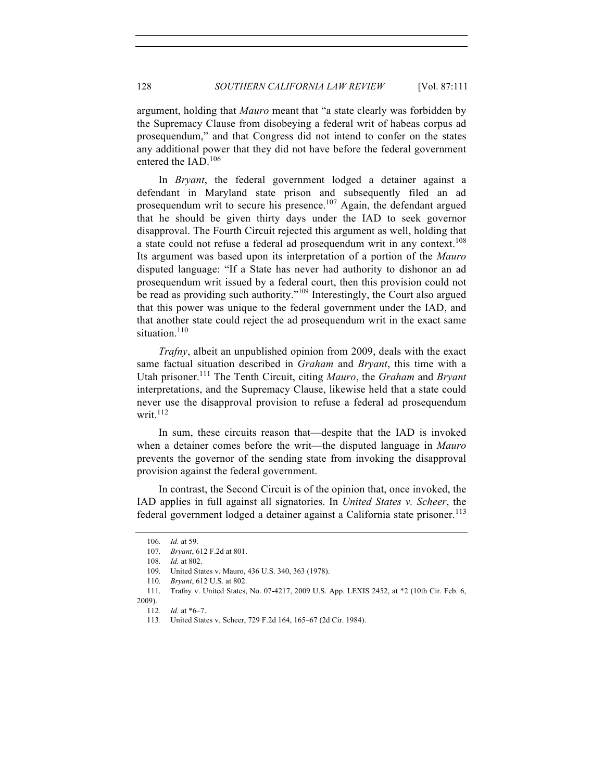argument, holding that *Mauro* meant that "a state clearly was forbidden by the Supremacy Clause from disobeying a federal writ of habeas corpus ad prosequendum," and that Congress did not intend to confer on the states any additional power that they did not have before the federal government entered the IAD.<sup>106</sup>

In *Bryant*, the federal government lodged a detainer against a defendant in Maryland state prison and subsequently filed an ad prosequendum writ to secure his presence.<sup>107</sup> Again, the defendant argued that he should be given thirty days under the IAD to seek governor disapproval. The Fourth Circuit rejected this argument as well, holding that a state could not refuse a federal ad prosequendum writ in any context.<sup>108</sup> Its argument was based upon its interpretation of a portion of the *Mauro* disputed language: "If a State has never had authority to dishonor an ad prosequendum writ issued by a federal court, then this provision could not be read as providing such authority."<sup>109</sup> Interestingly, the Court also argued that this power was unique to the federal government under the IAD, and that another state could reject the ad prosequendum writ in the exact same situation.<sup>110</sup>

*Trafny*, albeit an unpublished opinion from 2009, deals with the exact same factual situation described in *Graham* and *Bryant*, this time with a Utah prisoner.111 The Tenth Circuit, citing *Mauro*, the *Graham* and *Bryant* interpretations, and the Supremacy Clause, likewise held that a state could never use the disapproval provision to refuse a federal ad prosequendum writ. $112$ 

In sum, these circuits reason that—despite that the IAD is invoked when a detainer comes before the writ—the disputed language in *Mauro* prevents the governor of the sending state from invoking the disapproval provision against the federal government.

In contrast, the Second Circuit is of the opinion that, once invoked, the IAD applies in full against all signatories. In *United States v. Scheer*, the federal government lodged a detainer against a California state prisoner.<sup>113</sup>

<sup>106.</sup> *Id.* at 59.

<sup>107.</sup> *Bryant*, 612 F.2d at 801.

<sup>108.</sup> *Id.* at 802.

<sup>109.</sup> United States v. Mauro, 436 U.S. 340, 363 (1978).

<sup>110.</sup> *Bryant*, 612 U.S. at 802.

<sup>111.</sup> Trafny v. United States, No. 07-4217, 2009 U.S. App. LEXIS 2452, at \*2 (10th Cir. Feb. 6, 2009).

<sup>112</sup>*. Id.* at \*6–7.

<sup>113</sup>*.* United States v. Scheer, 729 F.2d 164, 165–67 (2d Cir. 1984).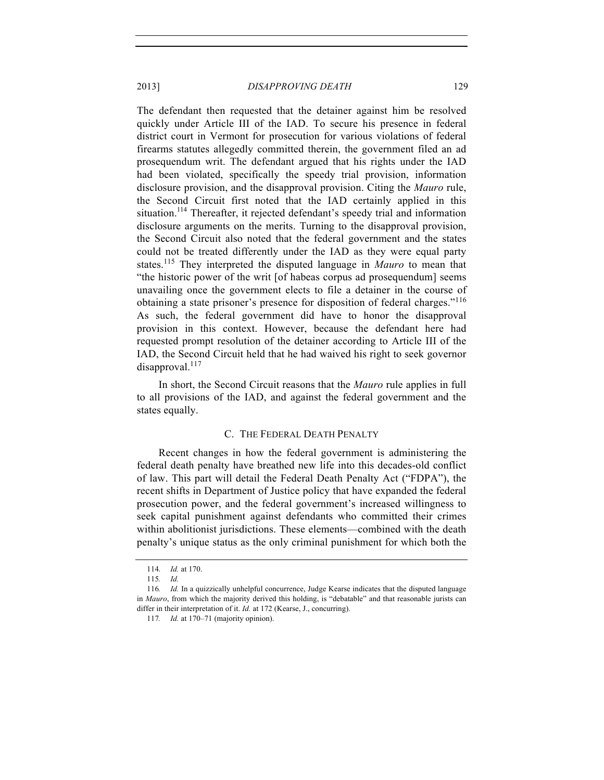The defendant then requested that the detainer against him be resolved quickly under Article III of the IAD. To secure his presence in federal district court in Vermont for prosecution for various violations of federal firearms statutes allegedly committed therein, the government filed an ad prosequendum writ. The defendant argued that his rights under the IAD had been violated, specifically the speedy trial provision, information disclosure provision, and the disapproval provision. Citing the *Mauro* rule, the Second Circuit first noted that the IAD certainly applied in this situation.<sup>114</sup> Thereafter, it rejected defendant's speedy trial and information disclosure arguments on the merits. Turning to the disapproval provision, the Second Circuit also noted that the federal government and the states could not be treated differently under the IAD as they were equal party states.115 They interpreted the disputed language in *Mauro* to mean that "the historic power of the writ [of habeas corpus ad prosequendum] seems unavailing once the government elects to file a detainer in the course of obtaining a state prisoner's presence for disposition of federal charges."<sup>116</sup> As such, the federal government did have to honor the disapproval provision in this context. However, because the defendant here had requested prompt resolution of the detainer according to Article III of the IAD, the Second Circuit held that he had waived his right to seek governor  $disapproval.<sup>117</sup>$ 

In short, the Second Circuit reasons that the *Mauro* rule applies in full to all provisions of the IAD, and against the federal government and the states equally.

#### C. THE FEDERAL DEATH PENALTY

Recent changes in how the federal government is administering the federal death penalty have breathed new life into this decades-old conflict of law. This part will detail the Federal Death Penalty Act ("FDPA"), the recent shifts in Department of Justice policy that have expanded the federal prosecution power, and the federal government's increased willingness to seek capital punishment against defendants who committed their crimes within abolitionist jurisdictions. These elements—combined with the death penalty's unique status as the only criminal punishment for which both the

<sup>114.</sup> *Id.* at 170.

<sup>115</sup>*. Id.*

<sup>116</sup>*. Id.* In a quizzically unhelpful concurrence, Judge Kearse indicates that the disputed language in *Mauro*, from which the majority derived this holding, is "debatable" and that reasonable jurists can differ in their interpretation of it. *Id.* at 172 (Kearse, J., concurring).

<sup>117</sup>*. Id.* at 170–71 (majority opinion).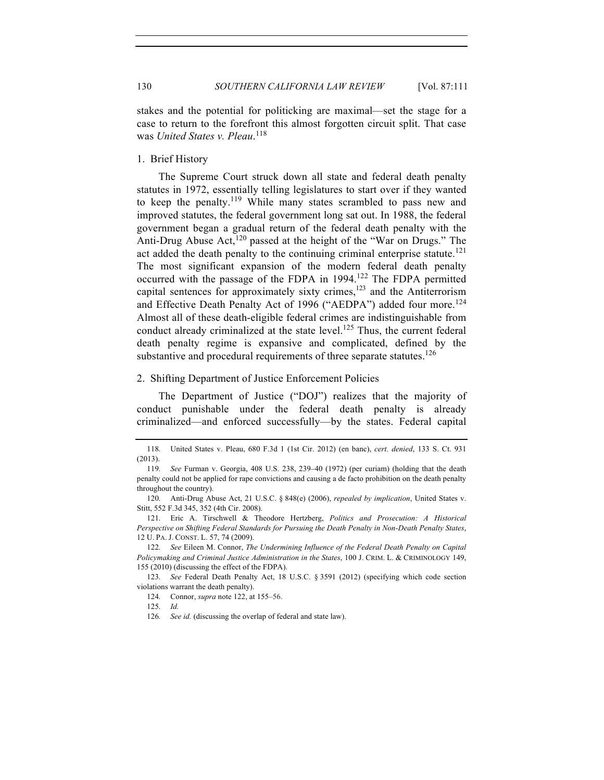stakes and the potential for politicking are maximal—set the stage for a case to return to the forefront this almost forgotten circuit split. That case was *United States v. Pleau*. 118

1. Brief History

The Supreme Court struck down all state and federal death penalty statutes in 1972, essentially telling legislatures to start over if they wanted to keep the penalty.<sup>119</sup> While many states scrambled to pass new and improved statutes, the federal government long sat out. In 1988, the federal government began a gradual return of the federal death penalty with the Anti-Drug Abuse Act,  $120$  passed at the height of the "War on Drugs." The act added the death penalty to the continuing criminal enterprise statute.<sup>121</sup> The most significant expansion of the modern federal death penalty occurred with the passage of the FDPA in 1994.<sup>122</sup> The FDPA permitted capital sentences for approximately sixty crimes,<sup>123</sup> and the Antiterrorism and Effective Death Penalty Act of 1996 ("AEDPA") added four more.<sup>124</sup> Almost all of these death-eligible federal crimes are indistinguishable from conduct already criminalized at the state level.<sup>125</sup> Thus, the current federal death penalty regime is expansive and complicated, defined by the substantive and procedural requirements of three separate statutes.<sup>126</sup>

#### 2. Shifting Department of Justice Enforcement Policies

The Department of Justice ("DOJ") realizes that the majority of conduct punishable under the federal death penalty is already criminalized—and enforced successfully—by the states. Federal capital

<sup>118.</sup> United States v. Pleau, 680 F.3d 1 (1st Cir. 2012) (en banc), *cert. denied*, 133 S. Ct. 931 (2013).

<sup>119.</sup> *See* Furman v. Georgia, 408 U.S. 238, 239–40 (1972) (per curiam) (holding that the death penalty could not be applied for rape convictions and causing a de facto prohibition on the death penalty throughout the country).

<sup>120.</sup> Anti-Drug Abuse Act, 21 U.S.C. § 848(e) (2006), *repealed by implication*, United States v. Stitt, 552 F.3d 345, 352 (4th Cir. 2008).

<sup>121.</sup> Eric A. Tirschwell & Theodore Hertzberg, *Politics and Prosecution: A Historical Perspective on Shifting Federal Standards for Pursuing the Death Penalty in Non-Death Penalty States*, 12 U. PA. J. CONST. L. 57, 74 (2009).

<sup>122.</sup> *See* Eileen M. Connor, *The Undermining Influence of the Federal Death Penalty on Capital Policymaking and Criminal Justice Administration in the States*, 100 J. CRIM. L. & CRIMINOLOGY 149, 155 (2010) (discussing the effect of the FDPA).

<sup>123.</sup> *See* Federal Death Penalty Act, 18 U.S.C. § 3591 (2012) (specifying which code section violations warrant the death penalty).

<sup>124.</sup> Connor, *supra* note 122, at 155–56.

<sup>125.</sup> *Id.*

<sup>126.</sup> *See id.* (discussing the overlap of federal and state law).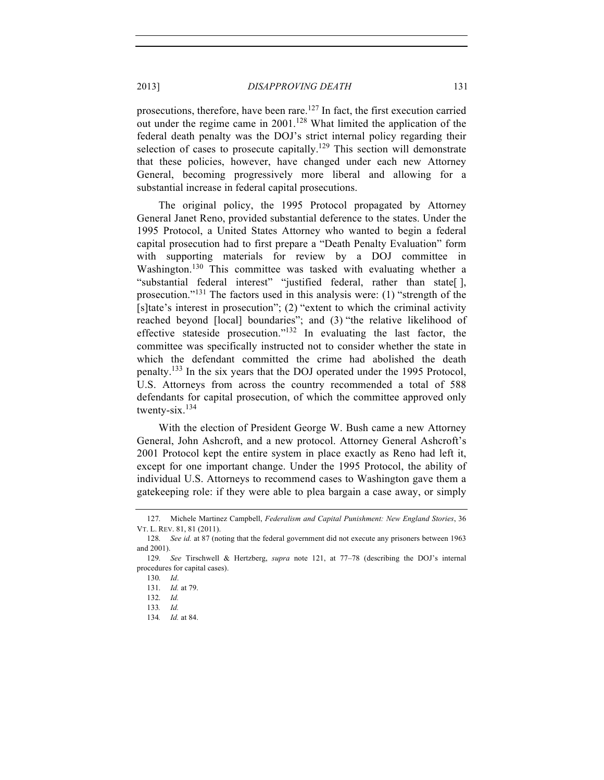prosecutions, therefore, have been rare.<sup>127</sup> In fact, the first execution carried out under the regime came in  $2001$ .<sup>128</sup> What limited the application of the federal death penalty was the DOJ's strict internal policy regarding their selection of cases to prosecute capitally.<sup>129</sup> This section will demonstrate that these policies, however, have changed under each new Attorney General, becoming progressively more liberal and allowing for a substantial increase in federal capital prosecutions.

The original policy, the 1995 Protocol propagated by Attorney General Janet Reno, provided substantial deference to the states. Under the 1995 Protocol, a United States Attorney who wanted to begin a federal capital prosecution had to first prepare a "Death Penalty Evaluation" form with supporting materials for review by a DOJ committee in Washington.<sup>130</sup> This committee was tasked with evaluating whether a "substantial federal interest" "justified federal, rather than state[ ], prosecution."<sup>131</sup> The factors used in this analysis were: (1) "strength of the [s]tate's interest in prosecution"; (2) "extent to which the criminal activity reached beyond [local] boundaries"; and (3) "the relative likelihood of effective stateside prosecution." $132$  In evaluating the last factor, the committee was specifically instructed not to consider whether the state in which the defendant committed the crime had abolished the death penalty.<sup>133</sup> In the six years that the DOJ operated under the 1995 Protocol, U.S. Attorneys from across the country recommended a total of 588 defendants for capital prosecution, of which the committee approved only twenty-six.<sup>134</sup>

With the election of President George W. Bush came a new Attorney General, John Ashcroft, and a new protocol. Attorney General Ashcroft's 2001 Protocol kept the entire system in place exactly as Reno had left it, except for one important change. Under the 1995 Protocol, the ability of individual U.S. Attorneys to recommend cases to Washington gave them a gatekeeping role: if they were able to plea bargain a case away, or simply

<sup>127.</sup> Michele Martinez Campbell, *Federalism and Capital Punishment: New England Stories*, 36 VT. L. REV. 81, 81 (2011).

<sup>128.</sup> *See id.* at 87 (noting that the federal government did not execute any prisoners between 1963 and 2001).

<sup>129.</sup> *See* Tirschwell & Hertzberg, *supra* note 121, at 77–78 (describing the DOJ's internal procedures for capital cases).

<sup>130.</sup> *Id*.

<sup>131.</sup> *Id.* at 79.

<sup>132.</sup> *Id.*

<sup>133</sup>*. Id.*

<sup>134</sup>*. Id.* at 84.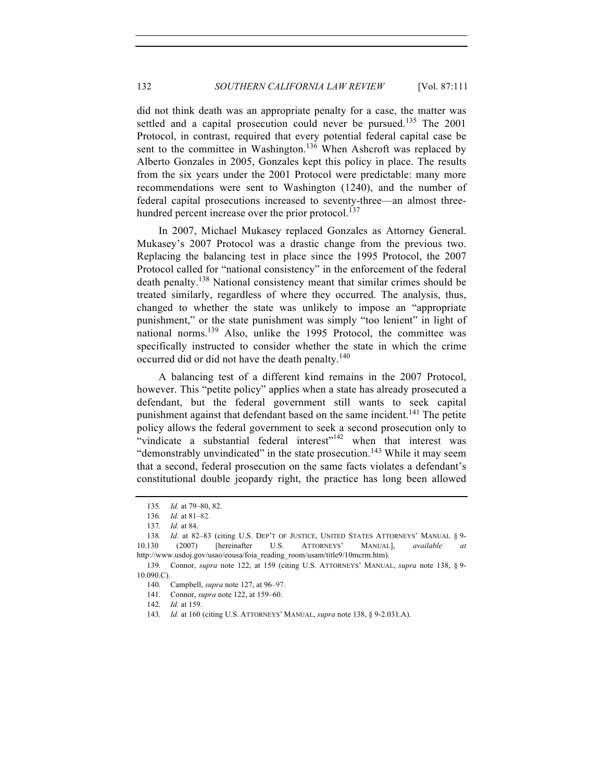did not think death was an appropriate penalty for a case, the matter was settled and a capital prosecution could never be pursued.<sup>135</sup> The  $2001$ Protocol, in contrast, required that every potential federal capital case be sent to the committee in Washington.<sup>136</sup> When Ashcroft was replaced by Alberto Gonzales in 2005, Gonzales kept this policy in place. The results from the six years under the 2001 Protocol were predictable: many more recommendations were sent to Washington (1240), and the number of federal capital prosecutions increased to seventy-three—an almost threehundred percent increase over the prior protocol.<sup>137</sup>

In 2007, Michael Mukasey replaced Gonzales as Attorney General. Mukasey's 2007 Protocol was a drastic change from the previous two. Replacing the balancing test in place since the 1995 Protocol, the 2007 Protocol called for "national consistency" in the enforcement of the federal death penalty.138 National consistency meant that similar crimes should be treated similarly, regardless of where they occurred. The analysis, thus, changed to whether the state was unlikely to impose an "appropriate punishment," or the state punishment was simply "too lenient" in light of national norms.<sup>139</sup> Also, unlike the 1995 Protocol, the committee was specifically instructed to consider whether the state in which the crime occurred did or did not have the death penalty.<sup>140</sup>

A balancing test of a different kind remains in the 2007 Protocol, however. This "petite policy" applies when a state has already prosecuted a defendant, but the federal government still wants to seek capital punishment against that defendant based on the same incident.<sup>141</sup> The petite policy allows the federal government to seek a second prosecution only to "vindicate a substantial federal interest"<sup>142</sup> when that interest was "demonstrably unvindicated" in the state prosecution.<sup>143</sup> While it may seem that a second, federal prosecution on the same facts violates a defendant's constitutional double jeopardy right, the practice has long been allowed

<sup>135</sup>*. Id.* at 79–80, 82.

<sup>136</sup>*. Id.* at 81–82.

<sup>137</sup>*. Id.* at 84.

<sup>138</sup>*. Id.* at 82–83 (citing U.S. DEP'T OF JUSTICE, UNITED STATES ATTORNEYS' MANUAL § 9- 10.130 (2007) [hereinafter U.S. ATTORNEYS' MANUAL], *available at*  http://www.usdoj.gov/usao/eousa/foia\_reading\_room/usam/title9/10mcrm.htm).

<sup>139.</sup> Connor, *supra* note 122, at 159 (citing U.S. ATTORNEYS' MANUAL, *supra* note 138, § 9- 10.090.C).

<sup>140.</sup> Campbell, *supra* note 127, at 96–97.

<sup>141.</sup> Connor, *supra* note 122, at 159–60.

<sup>142.</sup> *Id.* at 159.

<sup>143.</sup> *Id.* at 160 (citing U.S. ATTORNEYS' MANUAL, *supra* note 138, § 9-2.031.A).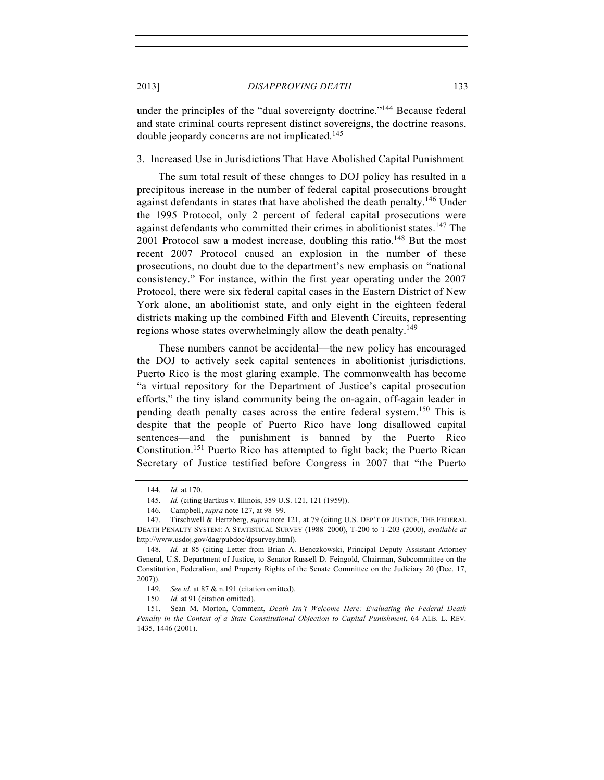under the principles of the "dual sovereignty doctrine."<sup>144</sup> Because federal and state criminal courts represent distinct sovereigns, the doctrine reasons, double jeopardy concerns are not implicated.<sup>145</sup>

3. Increased Use in Jurisdictions That Have Abolished Capital Punishment

The sum total result of these changes to DOJ policy has resulted in a precipitous increase in the number of federal capital prosecutions brought against defendants in states that have abolished the death penalty.<sup>146</sup> Under the 1995 Protocol, only 2 percent of federal capital prosecutions were against defendants who committed their crimes in abolitionist states.<sup>147</sup> The 2001 Protocol saw a modest increase, doubling this ratio.<sup>148</sup> But the most recent 2007 Protocol caused an explosion in the number of these prosecutions, no doubt due to the department's new emphasis on "national consistency." For instance, within the first year operating under the 2007 Protocol, there were six federal capital cases in the Eastern District of New York alone, an abolitionist state, and only eight in the eighteen federal districts making up the combined Fifth and Eleventh Circuits, representing regions whose states overwhelmingly allow the death penalty.<sup>149</sup>

These numbers cannot be accidental—the new policy has encouraged the DOJ to actively seek capital sentences in abolitionist jurisdictions. Puerto Rico is the most glaring example. The commonwealth has become "a virtual repository for the Department of Justice's capital prosecution efforts," the tiny island community being the on-again, off-again leader in pending death penalty cases across the entire federal system.<sup>150</sup> This is despite that the people of Puerto Rico have long disallowed capital sentences—and the punishment is banned by the Puerto Rico Constitution.<sup>151</sup> Puerto Rico has attempted to fight back; the Puerto Rican Secretary of Justice testified before Congress in 2007 that "the Puerto

<sup>144.</sup> *Id.* at 170.

<sup>145.</sup> *Id.* (citing Bartkus v. Illinois, 359 U.S. 121, 121 (1959)).

<sup>146.</sup> Campbell, *supra* note 127, at 98–99.

<sup>147.</sup> Tirschwell & Hertzberg, *supra* note 121, at 79 (citing U.S. DEP'T OF JUSTICE, THE FEDERAL DEATH PENALTY SYSTEM: A STATISTICAL SURVEY (1988–2000), T-200 to T-203 (2000), *available at* http://www.usdoj.gov/dag/pubdoc/dpsurvey.html).

<sup>148.</sup> *Id.* at 85 (citing Letter from Brian A. Benczkowski, Principal Deputy Assistant Attorney General, U.S. Department of Justice, to Senator Russell D. Feingold, Chairman, Subcommittee on the Constitution, Federalism, and Property Rights of the Senate Committee on the Judiciary 20 (Dec. 17, 2007)).

<sup>149.</sup> *See id.* at 87 & n.191 (citation omitted).

<sup>150</sup>*. Id.* at 91 (citation omitted).

<sup>151.</sup> Sean M. Morton, Comment, *Death Isn't Welcome Here: Evaluating the Federal Death Penalty in the Context of a State Constitutional Objection to Capital Punishment*, 64 ALB. L. REV. 1435, 1446 (2001).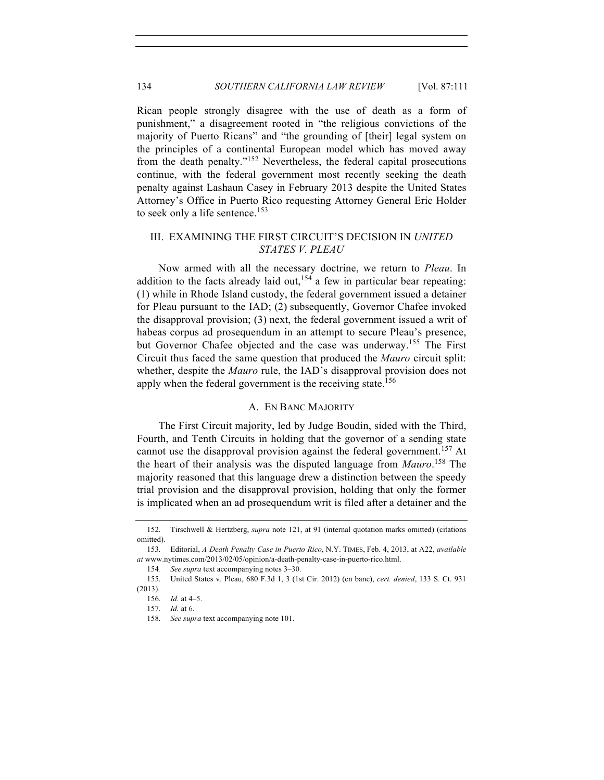Rican people strongly disagree with the use of death as a form of punishment," a disagreement rooted in "the religious convictions of the majority of Puerto Ricans" and "the grounding of [their] legal system on the principles of a continental European model which has moved away from the death penalty."<sup>152</sup> Nevertheless, the federal capital prosecutions continue, with the federal government most recently seeking the death penalty against Lashaun Casey in February 2013 despite the United States Attorney's Office in Puerto Rico requesting Attorney General Eric Holder to seek only a life sentence.<sup>153</sup>

## III. EXAMINING THE FIRST CIRCUIT'S DECISION IN *UNITED STATES V. PLEAU*

Now armed with all the necessary doctrine, we return to *Pleau*. In addition to the facts already laid out,<sup>154</sup> a few in particular bear repeating: (1) while in Rhode Island custody, the federal government issued a detainer for Pleau pursuant to the IAD; (2) subsequently, Governor Chafee invoked the disapproval provision; (3) next, the federal government issued a writ of habeas corpus ad prosequendum in an attempt to secure Pleau's presence, but Governor Chafee objected and the case was underway.<sup>155</sup> The First Circuit thus faced the same question that produced the *Mauro* circuit split: whether, despite the *Mauro* rule, the IAD's disapproval provision does not apply when the federal government is the receiving state.<sup>156</sup>

#### A. EN BANC MAJORITY

The First Circuit majority, led by Judge Boudin, sided with the Third, Fourth, and Tenth Circuits in holding that the governor of a sending state cannot use the disapproval provision against the federal government.<sup>157</sup> At the heart of their analysis was the disputed language from *Mauro*. <sup>158</sup> The majority reasoned that this language drew a distinction between the speedy trial provision and the disapproval provision, holding that only the former is implicated when an ad prosequendum writ is filed after a detainer and the

154*. See supra* text accompanying notes 3–30.

<sup>152.</sup> Tirschwell & Hertzberg, *supra* note 121, at 91 (internal quotation marks omitted) (citations omitted).

<sup>153.</sup> Editorial, *A Death Penalty Case in Puerto Rico*, N.Y. TIMES, Feb. 4, 2013, at A22, *available at* www.nytimes.com/2013/02/05/opinion/a-death-penalty-case-in-puerto-rico.html.

<sup>155.</sup> United States v. Pleau, 680 F.3d 1, 3 (1st Cir. 2012) (en banc), *cert. denied*, 133 S. Ct. 931

<sup>(2013).</sup>

<sup>156.</sup> *Id.* at 4–5.

<sup>157.</sup> *Id.* at 6.

<sup>158.</sup> *See supra* text accompanying note 101.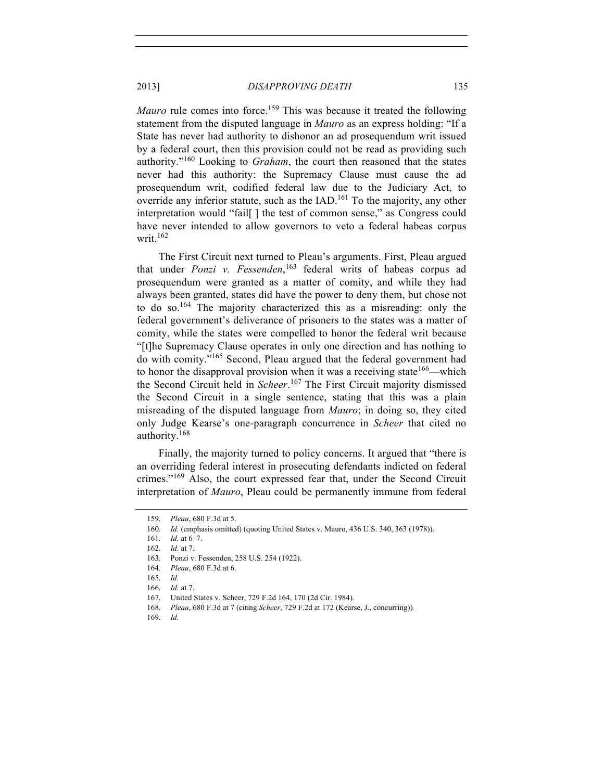*Mauro* rule comes into force.<sup>159</sup> This was because it treated the following statement from the disputed language in *Mauro* as an express holding: "If a State has never had authority to dishonor an ad prosequendum writ issued by a federal court, then this provision could not be read as providing such authority."<sup>160</sup> Looking to *Graham*, the court then reasoned that the states never had this authority: the Supremacy Clause must cause the ad prosequendum writ, codified federal law due to the Judiciary Act, to override any inferior statute, such as the IAD.<sup>161</sup> To the majority, any other interpretation would "fail[ ] the test of common sense," as Congress could have never intended to allow governors to veto a federal habeas corpus writ. $162$ 

The First Circuit next turned to Pleau's arguments. First, Pleau argued that under *Ponzi v. Fessenden*, <sup>163</sup> federal writs of habeas corpus ad prosequendum were granted as a matter of comity, and while they had always been granted, states did have the power to deny them, but chose not to do so.<sup>164</sup> The majority characterized this as a misreading: only the federal government's deliverance of prisoners to the states was a matter of comity, while the states were compelled to honor the federal writ because "[t]he Supremacy Clause operates in only one direction and has nothing to do with comity."<sup>165</sup> Second, Pleau argued that the federal government had to honor the disapproval provision when it was a receiving state<sup>166</sup>—which the Second Circuit held in *Scheer*. <sup>167</sup> The First Circuit majority dismissed the Second Circuit in a single sentence, stating that this was a plain misreading of the disputed language from *Mauro*; in doing so, they cited only Judge Kearse's one-paragraph concurrence in *Scheer* that cited no authority.<sup>168</sup>

Finally, the majority turned to policy concerns. It argued that "there is an overriding federal interest in prosecuting defendants indicted on federal crimes."<sup>169</sup> Also, the court expressed fear that, under the Second Circuit interpretation of *Mauro*, Pleau could be permanently immune from federal

<sup>159.</sup> *Pleau*, 680 F.3d at 5.

<sup>160.</sup> *Id.* (emphasis omitted) (quoting United States v. Mauro, 436 U.S. 340, 363 (1978)).

<sup>161.</sup> *Id.* at 6–7.

<sup>162.</sup> *Id.* at 7.

<sup>163.</sup> Ponzi v. Fessenden, 258 U.S. 254 (1922).

<sup>164.</sup> *Pleau*, 680 F.3d at 6.

<sup>165.</sup> *Id.*

<sup>166.</sup> *Id.* at 7.

<sup>167.</sup> United States v. Scheer, 729 F.2d 164, 170 (2d Cir. 1984).

<sup>168.</sup> *Pleau*, 680 F.3d at 7 (citing *Scheer*, 729 F.2d at 172 (Kearse, J., concurring))*.*

<sup>169.</sup> *Id.*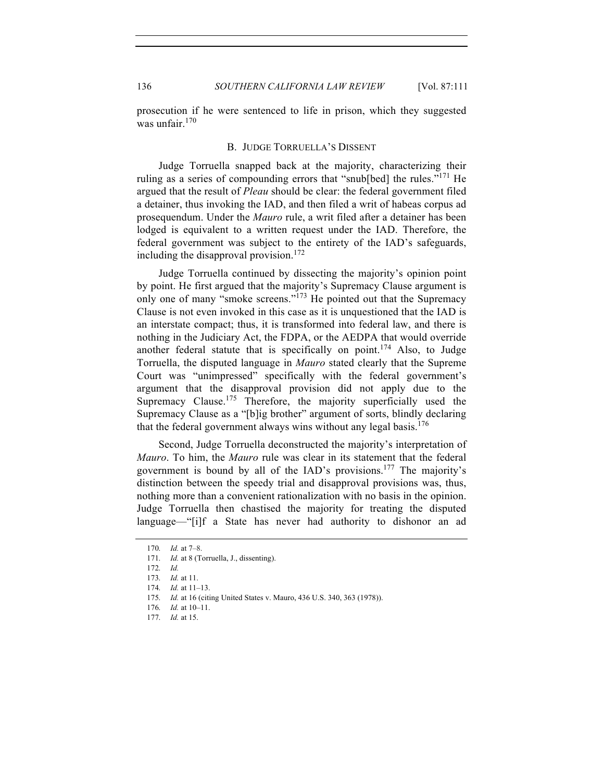prosecution if he were sentenced to life in prison, which they suggested was unfair. $170$ 

#### B. JUDGE TORRUELLA'S DISSENT

Judge Torruella snapped back at the majority, characterizing their ruling as a series of compounding errors that "snub[bed] the rules."<sup>171</sup> He argued that the result of *Pleau* should be clear: the federal government filed a detainer, thus invoking the IAD, and then filed a writ of habeas corpus ad prosequendum. Under the *Mauro* rule, a writ filed after a detainer has been lodged is equivalent to a written request under the IAD. Therefore, the federal government was subject to the entirety of the IAD's safeguards, including the disapproval provision.<sup>172</sup>

Judge Torruella continued by dissecting the majority's opinion point by point. He first argued that the majority's Supremacy Clause argument is only one of many "smoke screens."<sup>173</sup> He pointed out that the Supremacy Clause is not even invoked in this case as it is unquestioned that the IAD is an interstate compact; thus, it is transformed into federal law, and there is nothing in the Judiciary Act, the FDPA, or the AEDPA that would override another federal statute that is specifically on point.<sup>174</sup> Also, to Judge Torruella, the disputed language in *Mauro* stated clearly that the Supreme Court was "unimpressed" specifically with the federal government's argument that the disapproval provision did not apply due to the Supremacy Clause.<sup>175</sup> Therefore, the majority superficially used the Supremacy Clause as a "[b]ig brother" argument of sorts, blindly declaring that the federal government always wins without any legal basis.<sup>176</sup>

Second, Judge Torruella deconstructed the majority's interpretation of *Mauro*. To him, the *Mauro* rule was clear in its statement that the federal government is bound by all of the IAD's provisions.<sup>177</sup> The majority's distinction between the speedy trial and disapproval provisions was, thus, nothing more than a convenient rationalization with no basis in the opinion. Judge Torruella then chastised the majority for treating the disputed language—"[i]f a State has never had authority to dishonor an ad

<sup>170.</sup> *Id.* at 7–8.

<sup>171.</sup> *Id.* at 8 (Torruella, J., dissenting).

<sup>172.</sup> *Id.*

<sup>173.</sup> *Id.* at 11.

<sup>174.</sup> *Id.* at 11–13.

<sup>175.</sup> *Id.* at 16 (citing United States v. Mauro, 436 U.S. 340, 363 (1978)).

<sup>176.</sup> *Id.* at 10–11.

<sup>177.</sup> *Id.* at 15.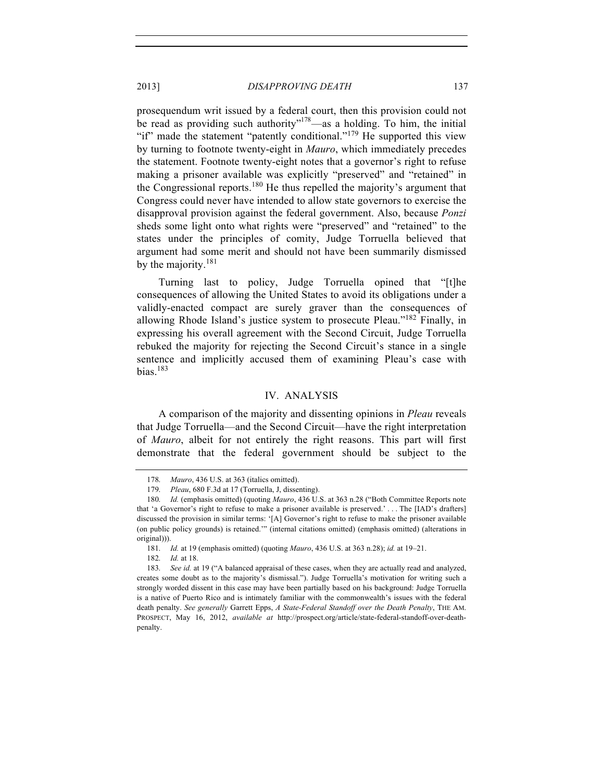prosequendum writ issued by a federal court, then this provision could not be read as providing such authority"<sup>178</sup>—as a holding. To him, the initial "if" made the statement "patently conditional."<sup>179</sup> He supported this view by turning to footnote twenty-eight in *Mauro*, which immediately precedes the statement. Footnote twenty-eight notes that a governor's right to refuse making a prisoner available was explicitly "preserved" and "retained" in the Congressional reports.<sup>180</sup> He thus repelled the majority's argument that Congress could never have intended to allow state governors to exercise the disapproval provision against the federal government. Also, because *Ponzi* sheds some light onto what rights were "preserved" and "retained" to the states under the principles of comity, Judge Torruella believed that argument had some merit and should not have been summarily dismissed

Turning last to policy, Judge Torruella opined that "[t]he consequences of allowing the United States to avoid its obligations under a validly-enacted compact are surely graver than the consequences of allowing Rhode Island's justice system to prosecute Pleau."<sup>182</sup> Finally, in expressing his overall agreement with the Second Circuit, Judge Torruella rebuked the majority for rejecting the Second Circuit's stance in a single sentence and implicitly accused them of examining Pleau's case with bias. $183$ 

#### IV. ANALYSIS

A comparison of the majority and dissenting opinions in *Pleau* reveals that Judge Torruella—and the Second Circuit—have the right interpretation of *Mauro*, albeit for not entirely the right reasons. This part will first demonstrate that the federal government should be subject to the

by the majority.<sup>181</sup>

<sup>178.</sup> *Mauro*, 436 U.S. at 363 (italics omitted).

<sup>179.</sup> *Pleau*, 680 F.3d at 17 (Torruella, J, dissenting).

<sup>180.</sup> *Id.* (emphasis omitted) (quoting *Mauro*, 436 U.S. at 363 n.28 ("Both Committee Reports note that 'a Governor's right to refuse to make a prisoner available is preserved.' . . . The [IAD's drafters] discussed the provision in similar terms: '[A] Governor's right to refuse to make the prisoner available (on public policy grounds) is retained.'" (internal citations omitted) (emphasis omitted) (alterations in original))).

<sup>181.</sup> *Id.* at 19 (emphasis omitted) (quoting *Mauro*, 436 U.S. at 363 n.28); *id.* at 19–21.

<sup>182.</sup> *Id.* at 18.

<sup>183.</sup> *See id.* at 19 ("A balanced appraisal of these cases, when they are actually read and analyzed, creates some doubt as to the majority's dismissal."). Judge Torruella's motivation for writing such a strongly worded dissent in this case may have been partially based on his background: Judge Torruella is a native of Puerto Rico and is intimately familiar with the commonwealth's issues with the federal death penalty. *See generally* Garrett Epps, *A State-Federal Standoff over the Death Penalty*, THE AM. PROSPECT, May 16, 2012, *available at* http://prospect.org/article/state-federal-standoff-over-deathpenalty.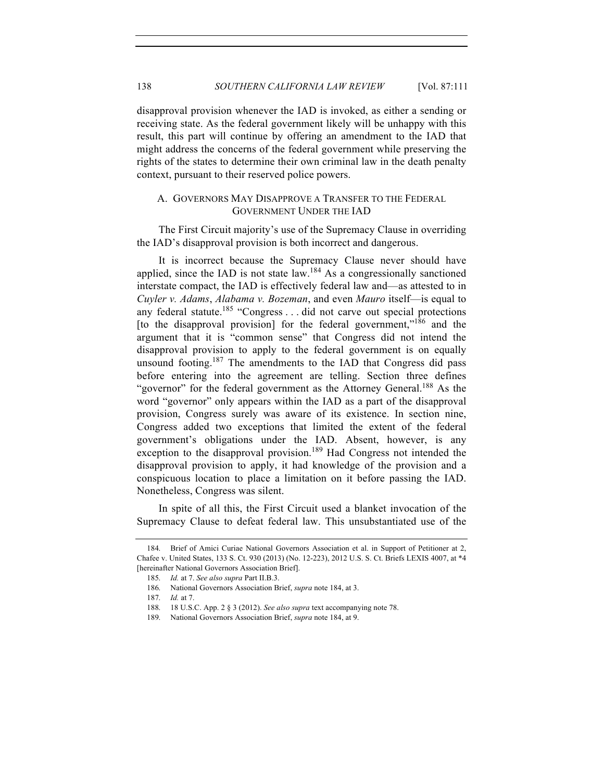disapproval provision whenever the IAD is invoked, as either a sending or receiving state. As the federal government likely will be unhappy with this result, this part will continue by offering an amendment to the IAD that might address the concerns of the federal government while preserving the rights of the states to determine their own criminal law in the death penalty context, pursuant to their reserved police powers.

## A. GOVERNORS MAY DISAPPROVE A TRANSFER TO THE FEDERAL GOVERNMENT UNDER THE IAD

The First Circuit majority's use of the Supremacy Clause in overriding the IAD's disapproval provision is both incorrect and dangerous.

It is incorrect because the Supremacy Clause never should have applied, since the IAD is not state law.<sup>184</sup> As a congressionally sanctioned interstate compact, the IAD is effectively federal law and—as attested to in *Cuyler v. Adams*, *Alabama v. Bozeman*, and even *Mauro* itself—is equal to any federal statute.<sup>185</sup> "Congress . . . did not carve out special protections [to the disapproval provision] for the federal government,"<sup>186</sup> and the argument that it is "common sense" that Congress did not intend the disapproval provision to apply to the federal government is on equally unsound footing.<sup>187</sup> The amendments to the IAD that Congress did pass before entering into the agreement are telling. Section three defines "governor" for the federal government as the Attorney General.<sup>188</sup> As the word "governor" only appears within the IAD as a part of the disapproval provision, Congress surely was aware of its existence. In section nine, Congress added two exceptions that limited the extent of the federal government's obligations under the IAD. Absent, however, is any exception to the disapproval provision.<sup>189</sup> Had Congress not intended the disapproval provision to apply, it had knowledge of the provision and a conspicuous location to place a limitation on it before passing the IAD. Nonetheless, Congress was silent.

In spite of all this, the First Circuit used a blanket invocation of the Supremacy Clause to defeat federal law. This unsubstantiated use of the

<sup>184.</sup> Brief of Amici Curiae National Governors Association et al. in Support of Petitioner at 2, Chafee v. United States, 133 S. Ct. 930 (2013) (No. 12-223), 2012 U.S. S. Ct. Briefs LEXIS 4007, at \*4 [hereinafter National Governors Association Brief].

<sup>185.</sup> *Id.* at 7. *See also supra* Part II.B.3.

<sup>186.</sup> National Governors Association Brief, *supra* note 184, at 3.

<sup>187.</sup> *Id.* at 7.

<sup>188.</sup> 18 U.S.C. App. 2 § 3 (2012). *See also supra* text accompanying note 78.

<sup>189.</sup> National Governors Association Brief, *supra* note 184, at 9.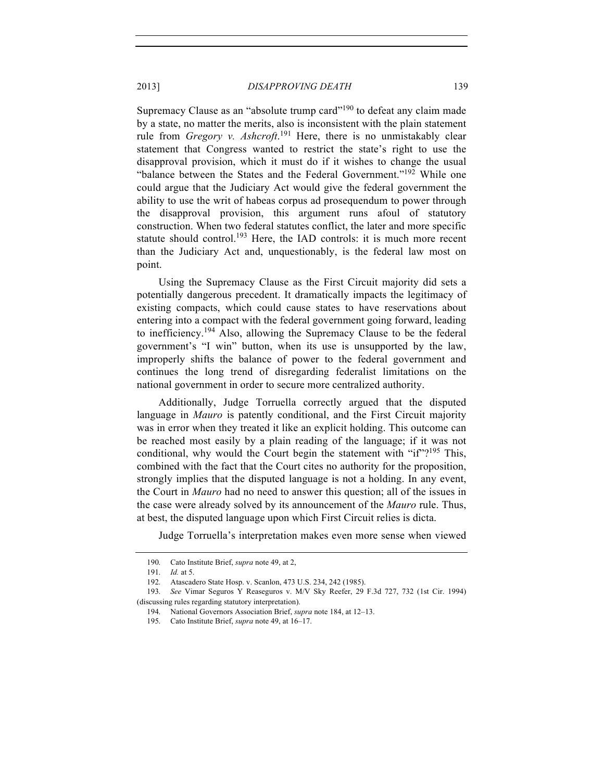Supremacy Clause as an "absolute trump card"<sup>190</sup> to defeat any claim made by a state, no matter the merits, also is inconsistent with the plain statement rule from *Gregory v. Ashcroft*. <sup>191</sup> Here, there is no unmistakably clear statement that Congress wanted to restrict the state's right to use the disapproval provision, which it must do if it wishes to change the usual "balance between the States and the Federal Government."<sup>192</sup> While one could argue that the Judiciary Act would give the federal government the ability to use the writ of habeas corpus ad prosequendum to power through the disapproval provision, this argument runs afoul of statutory construction. When two federal statutes conflict, the later and more specific statute should control.<sup>193</sup> Here, the IAD controls: it is much more recent than the Judiciary Act and, unquestionably, is the federal law most on point.

Using the Supremacy Clause as the First Circuit majority did sets a potentially dangerous precedent. It dramatically impacts the legitimacy of existing compacts, which could cause states to have reservations about entering into a compact with the federal government going forward, leading to inefficiency.<sup>194</sup> Also, allowing the Supremacy Clause to be the federal government's "I win" button, when its use is unsupported by the law, improperly shifts the balance of power to the federal government and continues the long trend of disregarding federalist limitations on the national government in order to secure more centralized authority.

Additionally, Judge Torruella correctly argued that the disputed language in *Mauro* is patently conditional, and the First Circuit majority was in error when they treated it like an explicit holding. This outcome can be reached most easily by a plain reading of the language; if it was not conditional, why would the Court begin the statement with " $if$ "?<sup>195</sup> This, combined with the fact that the Court cites no authority for the proposition, strongly implies that the disputed language is not a holding. In any event, the Court in *Mauro* had no need to answer this question; all of the issues in the case were already solved by its announcement of the *Mauro* rule. Thus, at best, the disputed language upon which First Circuit relies is dicta.

Judge Torruella's interpretation makes even more sense when viewed

<sup>190.</sup> Cato Institute Brief, *supra* note 49, at 2,

<sup>191.</sup> *Id.* at 5.

<sup>192.</sup> Atascadero State Hosp. v. Scanlon, 473 U.S. 234, 242 (1985).

<sup>193.</sup> *See* Vimar Seguros Y Reaseguros v. M/V Sky Reefer, 29 F.3d 727, 732 (1st Cir. 1994) (discussing rules regarding statutory interpretation).

<sup>194.</sup> National Governors Association Brief, *supra* note 184, at 12–13.

<sup>195.</sup> Cato Institute Brief, *supra* note 49, at 16–17.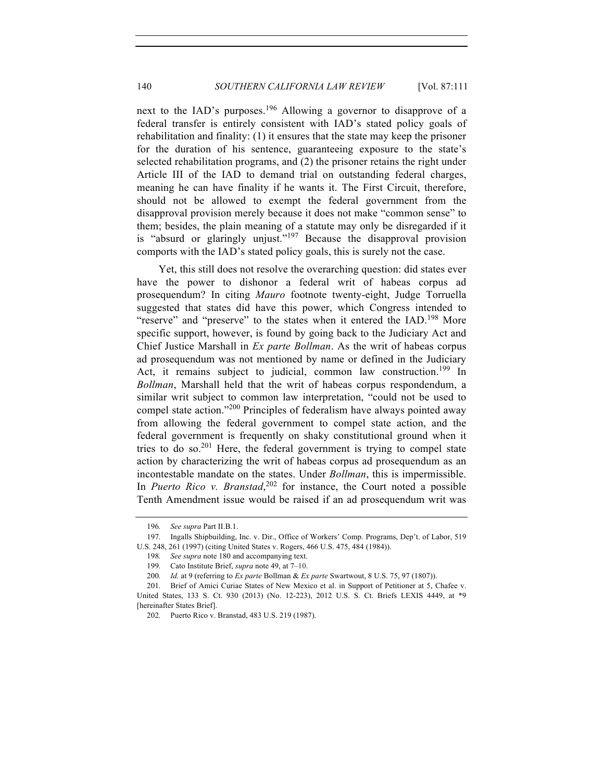next to the IAD's purposes.<sup>196</sup> Allowing a governor to disapprove of a federal transfer is entirely consistent with IAD's stated policy goals of rehabilitation and finality: (1) it ensures that the state may keep the prisoner for the duration of his sentence, guaranteeing exposure to the state's selected rehabilitation programs, and (2) the prisoner retains the right under Article III of the IAD to demand trial on outstanding federal charges, meaning he can have finality if he wants it. The First Circuit, therefore, should not be allowed to exempt the federal government from the disapproval provision merely because it does not make "common sense" to them; besides, the plain meaning of a statute may only be disregarded if it is "absurd or glaringly unjust."<sup>197</sup> Because the disapproval provision comports with the IAD's stated policy goals, this is surely not the case.

Yet, this still does not resolve the overarching question: did states ever have the power to dishonor a federal writ of habeas corpus ad prosequendum? In citing *Mauro* footnote twenty-eight, Judge Torruella suggested that states did have this power, which Congress intended to "reserve" and "preserve" to the states when it entered the IAD.<sup>198</sup> More specific support, however, is found by going back to the Judiciary Act and Chief Justice Marshall in *Ex parte Bollman*. As the writ of habeas corpus ad prosequendum was not mentioned by name or defined in the Judiciary Act, it remains subject to judicial, common law construction.<sup>199</sup> In *Bollman*, Marshall held that the writ of habeas corpus respondendum, a similar writ subject to common law interpretation, "could not be used to compel state action."<sup>200</sup> Principles of federalism have always pointed away from allowing the federal government to compel state action, and the federal government is frequently on shaky constitutional ground when it tries to do so.<sup>201</sup> Here, the federal government is trying to compel state action by characterizing the writ of habeas corpus ad prosequendum as an incontestable mandate on the states. Under *Bollman*, this is impermissible. In *Puerto Rico v. Branstad*,<sup>202</sup> for instance, the Court noted a possible Tenth Amendment issue would be raised if an ad prosequendum writ was

<sup>196.</sup> *See supra* Part II.B.1.

<sup>197.</sup> Ingalls Shipbuilding, Inc. v. Dir., Office of Workers' Comp. Programs, Dep't. of Labor, 519 U.S. 248, 261 (1997) (citing United States v. Rogers, 466 U.S. 475, 484 (1984)).

<sup>198.</sup> *See supra* note 180 and accompanying text.

<sup>199.</sup> Cato Institute Brief, *supra* note 49, at 7–10.

<sup>200.</sup> *Id.* at 9 (referring to *Ex parte* Bollman & *Ex parte* Swartwout, 8 U.S. 75, 97 (1807)).

<sup>201.</sup> Brief of Amici Curiae States of New Mexico et al. in Support of Petitioner at 5, Chafee v. United States, 133 S. Ct. 930 (2013) (No. 12-223), 2012 U.S. S. Ct. Briefs LEXIS 4449, at \*9 [hereinafter States Brief].

<sup>202.</sup> Puerto Rico v. Branstad, 483 U.S. 219 (1987).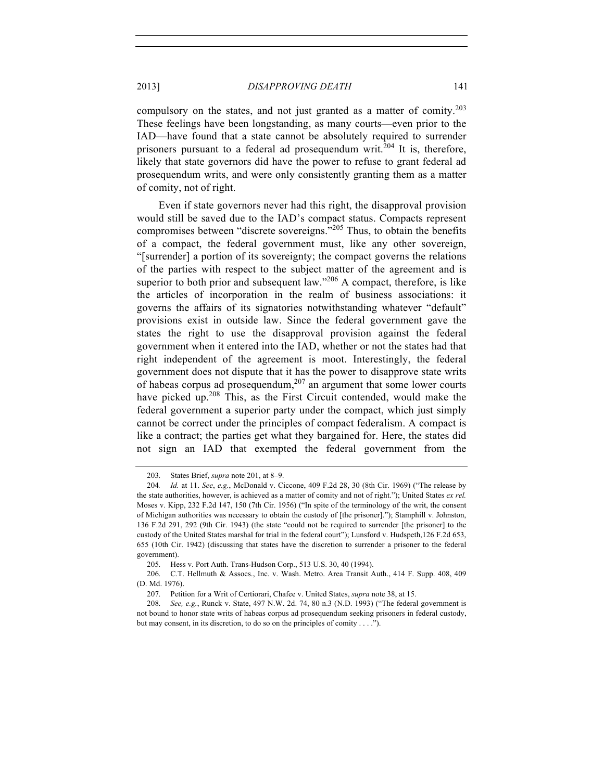compulsory on the states, and not just granted as a matter of comity. 203 These feelings have been longstanding, as many courts—even prior to the IAD—have found that a state cannot be absolutely required to surrender prisoners pursuant to a federal ad prosequendum writ.<sup>204</sup> It is, therefore, likely that state governors did have the power to refuse to grant federal ad prosequendum writs, and were only consistently granting them as a matter of comity, not of right.

Even if state governors never had this right, the disapproval provision would still be saved due to the IAD's compact status. Compacts represent compromises between "discrete sovereigns."<sup>205</sup> Thus, to obtain the benefits of a compact, the federal government must, like any other sovereign, "[surrender] a portion of its sovereignty; the compact governs the relations of the parties with respect to the subject matter of the agreement and is superior to both prior and subsequent law."<sup>206</sup> A compact, therefore, is like the articles of incorporation in the realm of business associations: it governs the affairs of its signatories notwithstanding whatever "default" provisions exist in outside law. Since the federal government gave the states the right to use the disapproval provision against the federal government when it entered into the IAD, whether or not the states had that right independent of the agreement is moot. Interestingly, the federal government does not dispute that it has the power to disapprove state writs of habeas corpus ad prosequendum,<sup>207</sup> an argument that some lower courts have picked up. $208$  This, as the First Circuit contended, would make the federal government a superior party under the compact, which just simply cannot be correct under the principles of compact federalism. A compact is like a contract; the parties get what they bargained for. Here, the states did not sign an IAD that exempted the federal government from the

<sup>203.</sup> States Brief, *supra* note 201, at 8–9.

<sup>204</sup>*. Id.* at 11. *See*, *e.g.*, McDonald v. Ciccone, 409 F.2d 28, 30 (8th Cir. 1969) ("The release by the state authorities, however, is achieved as a matter of comity and not of right."); United States *ex rel.* Moses v. Kipp, 232 F.2d 147, 150 (7th Cir. 1956) ("In spite of the terminology of the writ, the consent of Michigan authorities was necessary to obtain the custody of [the prisoner]."); Stamphill v. Johnston, 136 F.2d 291, 292 (9th Cir. 1943) (the state "could not be required to surrender [the prisoner] to the custody of the United States marshal for trial in the federal court"); Lunsford v. Hudspeth,126 F.2d 653, 655 (10th Cir. 1942) (discussing that states have the discretion to surrender a prisoner to the federal government).

<sup>205.</sup> Hess v. Port Auth. Trans-Hudson Corp., 513 U.S. 30, 40 (1994).

<sup>206.</sup> C.T. Hellmuth & Assocs., Inc. v. Wash. Metro. Area Transit Auth., 414 F. Supp. 408, 409 (D. Md. 1976).

<sup>207.</sup> Petition for a Writ of Certiorari, Chafee v. United States, *supra* note 38, at 15.

<sup>208.</sup> *See, e.g.*, Runck v. State, 497 N.W. 2d. 74, 80 n.3 (N.D. 1993) ("The federal government is not bound to honor state writs of habeas corpus ad prosequendum seeking prisoners in federal custody, but may consent, in its discretion, to do so on the principles of comity . . . .").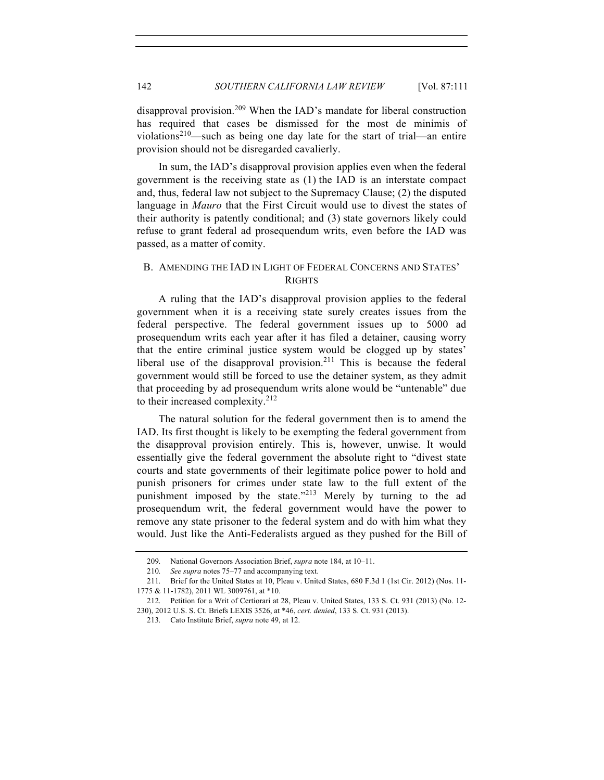disapproval provision.<sup>209</sup> When the IAD's mandate for liberal construction has required that cases be dismissed for the most de minimis of violations<sup>210</sup>—such as being one day late for the start of trial—an entire provision should not be disregarded cavalierly.

In sum, the IAD's disapproval provision applies even when the federal government is the receiving state as (1) the IAD is an interstate compact and, thus, federal law not subject to the Supremacy Clause; (2) the disputed language in *Mauro* that the First Circuit would use to divest the states of their authority is patently conditional; and (3) state governors likely could refuse to grant federal ad prosequendum writs, even before the IAD was passed, as a matter of comity.

## B. AMENDING THE IAD IN LIGHT OF FEDERAL CONCERNS AND STATES' **RIGHTS**

A ruling that the IAD's disapproval provision applies to the federal government when it is a receiving state surely creates issues from the federal perspective. The federal government issues up to 5000 ad prosequendum writs each year after it has filed a detainer, causing worry that the entire criminal justice system would be clogged up by states' liberal use of the disapproval provision.<sup>211</sup> This is because the federal government would still be forced to use the detainer system, as they admit that proceeding by ad prosequendum writs alone would be "untenable" due to their increased complexity.<sup>212</sup>

The natural solution for the federal government then is to amend the IAD. Its first thought is likely to be exempting the federal government from the disapproval provision entirely. This is, however, unwise. It would essentially give the federal government the absolute right to "divest state courts and state governments of their legitimate police power to hold and punish prisoners for crimes under state law to the full extent of the punishment imposed by the state.<sup>213</sup> Merely by turning to the ad prosequendum writ, the federal government would have the power to remove any state prisoner to the federal system and do with him what they would. Just like the Anti-Federalists argued as they pushed for the Bill of

<sup>209.</sup> National Governors Association Brief, *supra* note 184, at 10–11.

<sup>210.</sup> *See supra* notes 75–77 and accompanying text.

<sup>211.</sup> Brief for the United States at 10, Pleau v. United States, 680 F.3d 1 (1st Cir. 2012) (Nos. 11- 1775 & 11-1782), 2011 WL 3009761, at \*10.

<sup>212.</sup> Petition for a Writ of Certiorari at 28, Pleau v. United States, 133 S. Ct. 931 (2013) (No. 12- 230), 2012 U.S. S. Ct. Briefs LEXIS 3526, at \*46, *cert. denied*, 133 S. Ct. 931 (2013).

<sup>213.</sup> Cato Institute Brief, *supra* note 49, at 12.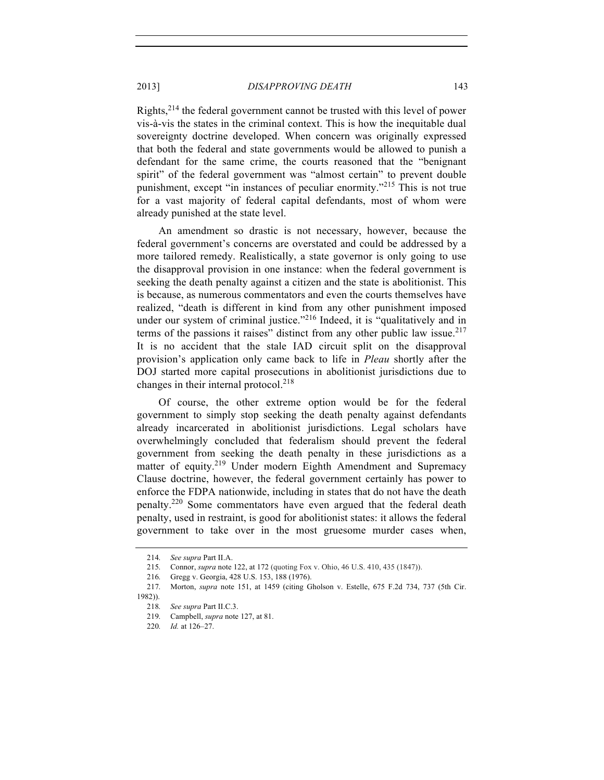Rights,<sup>214</sup> the federal government cannot be trusted with this level of power vis-à-vis the states in the criminal context. This is how the inequitable dual sovereignty doctrine developed. When concern was originally expressed that both the federal and state governments would be allowed to punish a defendant for the same crime, the courts reasoned that the "benignant spirit" of the federal government was "almost certain" to prevent double punishment, except "in instances of peculiar enormity."<sup>215</sup> This is not true for a vast majority of federal capital defendants, most of whom were already punished at the state level.

An amendment so drastic is not necessary, however, because the federal government's concerns are overstated and could be addressed by a more tailored remedy. Realistically, a state governor is only going to use the disapproval provision in one instance: when the federal government is seeking the death penalty against a citizen and the state is abolitionist. This is because, as numerous commentators and even the courts themselves have realized, "death is different in kind from any other punishment imposed under our system of criminal justice."<sup>216</sup> Indeed, it is "qualitatively and in terms of the passions it raises" distinct from any other public law issue.<sup>217</sup> It is no accident that the stale IAD circuit split on the disapproval provision's application only came back to life in *Pleau* shortly after the DOJ started more capital prosecutions in abolitionist jurisdictions due to changes in their internal protocol. $218$ 

Of course, the other extreme option would be for the federal government to simply stop seeking the death penalty against defendants already incarcerated in abolitionist jurisdictions. Legal scholars have overwhelmingly concluded that federalism should prevent the federal government from seeking the death penalty in these jurisdictions as a matter of equity.<sup>219</sup> Under modern Eighth Amendment and Supremacy Clause doctrine, however, the federal government certainly has power to enforce the FDPA nationwide, including in states that do not have the death penalty.220 Some commentators have even argued that the federal death penalty, used in restraint, is good for abolitionist states: it allows the federal government to take over in the most gruesome murder cases when,

<sup>214.</sup> *See supra* Part II.A.

<sup>215.</sup> Connor, *supra* note 122, at 172 (quoting Fox v. Ohio, 46 U.S. 410, 435 (1847)).

<sup>216.</sup> Gregg v. Georgia, 428 U.S. 153, 188 (1976).

<sup>217.</sup> Morton, *supra* note 151, at 1459 (citing Gholson v. Estelle, 675 F.2d 734, 737 (5th Cir. 1982)).

<sup>218.</sup> *See supra* Part II.C.3.

<sup>219.</sup> Campbell, *supra* note 127, at 81.

<sup>220.</sup> *Id.* at 126–27.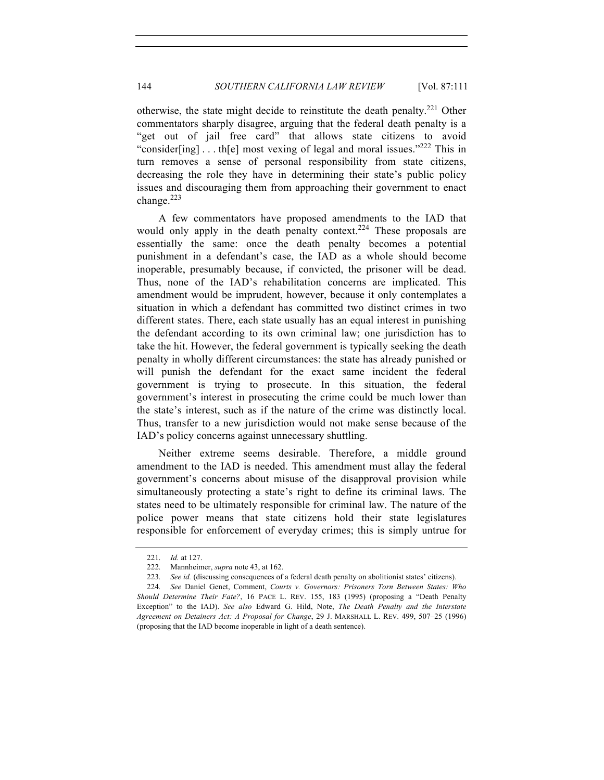otherwise, the state might decide to reinstitute the death penalty.<sup>221</sup> Other commentators sharply disagree, arguing that the federal death penalty is a "get out of jail free card" that allows state citizens to avoid "consider[ing]  $\ldots$  th[e] most vexing of legal and moral issues."<sup>222</sup> This in turn removes a sense of personal responsibility from state citizens, decreasing the role they have in determining their state's public policy issues and discouraging them from approaching their government to enact change.<sup>223</sup>

A few commentators have proposed amendments to the IAD that would only apply in the death penalty context.<sup>224</sup> These proposals are essentially the same: once the death penalty becomes a potential punishment in a defendant's case, the IAD as a whole should become inoperable, presumably because, if convicted, the prisoner will be dead. Thus, none of the IAD's rehabilitation concerns are implicated. This amendment would be imprudent, however, because it only contemplates a situation in which a defendant has committed two distinct crimes in two different states. There, each state usually has an equal interest in punishing the defendant according to its own criminal law; one jurisdiction has to take the hit. However, the federal government is typically seeking the death penalty in wholly different circumstances: the state has already punished or will punish the defendant for the exact same incident the federal government is trying to prosecute. In this situation, the federal government's interest in prosecuting the crime could be much lower than the state's interest, such as if the nature of the crime was distinctly local. Thus, transfer to a new jurisdiction would not make sense because of the IAD's policy concerns against unnecessary shuttling.

Neither extreme seems desirable. Therefore, a middle ground amendment to the IAD is needed. This amendment must allay the federal government's concerns about misuse of the disapproval provision while simultaneously protecting a state's right to define its criminal laws. The states need to be ultimately responsible for criminal law. The nature of the police power means that state citizens hold their state legislatures responsible for enforcement of everyday crimes; this is simply untrue for

<sup>221.</sup> *Id.* at 127.

<sup>222.</sup> Mannheimer, *supra* note 43, at 162.

<sup>223.</sup> *See id.* (discussing consequences of a federal death penalty on abolitionist states' citizens).

<sup>224.</sup> *See* Daniel Genet, Comment, *Courts v. Governors: Prisoners Torn Between States: Who Should Determine Their Fate?*, 16 PACE L. REV. 155, 183 (1995) (proposing a "Death Penalty Exception" to the IAD). *See also* Edward G. Hild, Note, *The Death Penalty and the Interstate Agreement on Detainers Act: A Proposal for Change*, 29 J. MARSHALL L. REV. 499, 507–25 (1996) (proposing that the IAD become inoperable in light of a death sentence).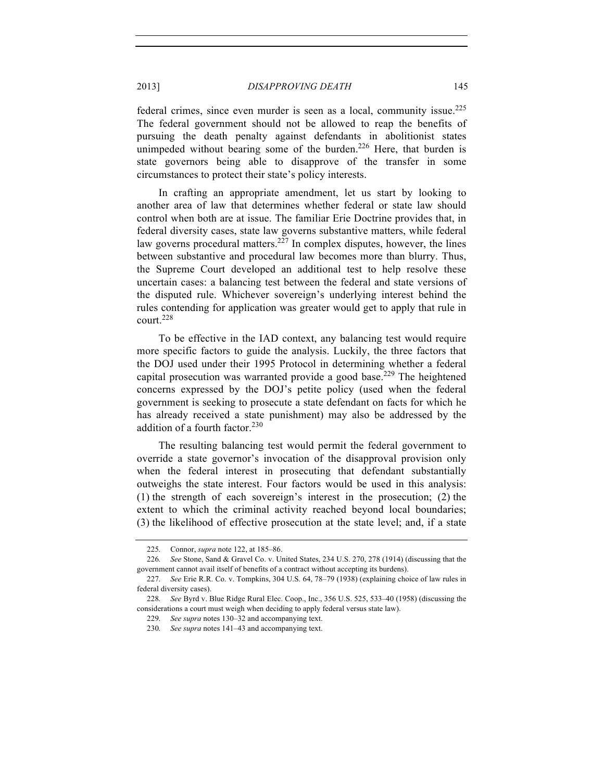federal crimes, since even murder is seen as a local, community issue.<sup>225</sup> The federal government should not be allowed to reap the benefits of pursuing the death penalty against defendants in abolitionist states unimpeded without bearing some of the burden.<sup>226</sup> Here, that burden is state governors being able to disapprove of the transfer in some circumstances to protect their state's policy interests.

In crafting an appropriate amendment, let us start by looking to another area of law that determines whether federal or state law should control when both are at issue. The familiar Erie Doctrine provides that, in federal diversity cases, state law governs substantive matters, while federal law governs procedural matters.<sup>227</sup> In complex disputes, however, the lines between substantive and procedural law becomes more than blurry. Thus, the Supreme Court developed an additional test to help resolve these uncertain cases: a balancing test between the federal and state versions of the disputed rule. Whichever sovereign's underlying interest behind the rules contending for application was greater would get to apply that rule in court.<sup>228</sup>

To be effective in the IAD context, any balancing test would require more specific factors to guide the analysis. Luckily, the three factors that the DOJ used under their 1995 Protocol in determining whether a federal capital prosecution was warranted provide a good base.<sup>229</sup> The heightened concerns expressed by the DOJ's petite policy (used when the federal government is seeking to prosecute a state defendant on facts for which he has already received a state punishment) may also be addressed by the addition of a fourth factor.<sup>230</sup>

The resulting balancing test would permit the federal government to override a state governor's invocation of the disapproval provision only when the federal interest in prosecuting that defendant substantially outweighs the state interest. Four factors would be used in this analysis: (1) the strength of each sovereign's interest in the prosecution; (2) the extent to which the criminal activity reached beyond local boundaries; (3) the likelihood of effective prosecution at the state level; and, if a state

<sup>225.</sup> Connor, *supra* note 122, at 185–86.

<sup>226.</sup> *See* Stone, Sand & Gravel Co. v. United States, 234 U.S. 270, 278 (1914) (discussing that the government cannot avail itself of benefits of a contract without accepting its burdens).

<sup>227.</sup> *See* Erie R.R. Co. v. Tompkins, 304 U.S. 64, 78–79 (1938) (explaining choice of law rules in federal diversity cases).

<sup>228.</sup> *See* Byrd v. Blue Ridge Rural Elec. Coop., Inc., 356 U.S. 525, 533–40 (1958) (discussing the considerations a court must weigh when deciding to apply federal versus state law).

<sup>229.</sup> *See supra* notes 130–32 and accompanying text.

<sup>230.</sup> *See supra* notes 141–43 and accompanying text.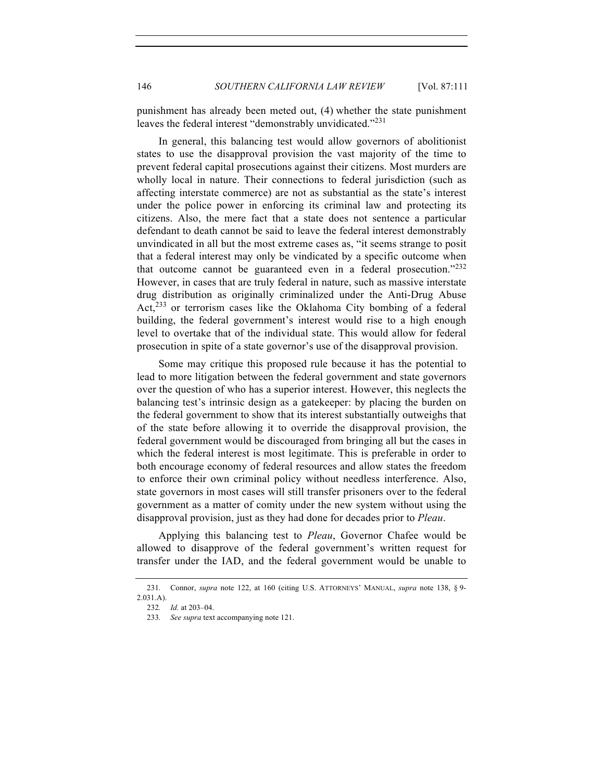punishment has already been meted out, (4) whether the state punishment leaves the federal interest "demonstrably unvidicated."<sup>231</sup>

In general, this balancing test would allow governors of abolitionist states to use the disapproval provision the vast majority of the time to prevent federal capital prosecutions against their citizens. Most murders are wholly local in nature. Their connections to federal jurisdiction (such as affecting interstate commerce) are not as substantial as the state's interest under the police power in enforcing its criminal law and protecting its citizens. Also, the mere fact that a state does not sentence a particular defendant to death cannot be said to leave the federal interest demonstrably unvindicated in all but the most extreme cases as, "it seems strange to posit that a federal interest may only be vindicated by a specific outcome when that outcome cannot be guaranteed even in a federal prosecution."<sup>232</sup> However, in cases that are truly federal in nature, such as massive interstate drug distribution as originally criminalized under the Anti-Drug Abuse Act, $^{233}$  or terrorism cases like the Oklahoma City bombing of a federal building, the federal government's interest would rise to a high enough level to overtake that of the individual state. This would allow for federal prosecution in spite of a state governor's use of the disapproval provision.

Some may critique this proposed rule because it has the potential to lead to more litigation between the federal government and state governors over the question of who has a superior interest. However, this neglects the balancing test's intrinsic design as a gatekeeper: by placing the burden on the federal government to show that its interest substantially outweighs that of the state before allowing it to override the disapproval provision, the federal government would be discouraged from bringing all but the cases in which the federal interest is most legitimate. This is preferable in order to both encourage economy of federal resources and allow states the freedom to enforce their own criminal policy without needless interference. Also, state governors in most cases will still transfer prisoners over to the federal government as a matter of comity under the new system without using the disapproval provision, just as they had done for decades prior to *Pleau*.

Applying this balancing test to *Pleau*, Governor Chafee would be allowed to disapprove of the federal government's written request for transfer under the IAD, and the federal government would be unable to

<sup>231.</sup> Connor, *supra* note 122, at 160 (citing U.S. ATTORNEYS' MANUAL, *supra* note 138, § 9- 2.031.A).

<sup>232.</sup> *Id.* at 203–04.

<sup>233.</sup> *See supra* text accompanying note 121.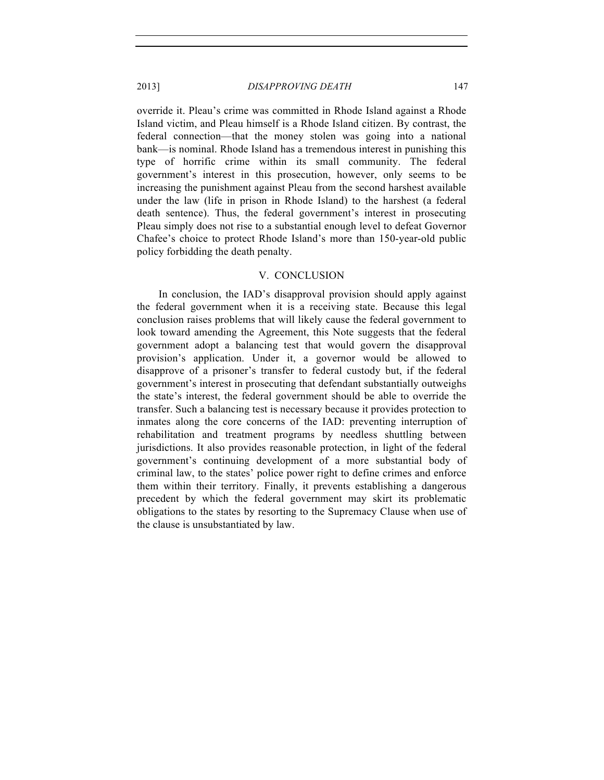override it. Pleau's crime was committed in Rhode Island against a Rhode Island victim, and Pleau himself is a Rhode Island citizen. By contrast, the federal connection—that the money stolen was going into a national bank—is nominal. Rhode Island has a tremendous interest in punishing this type of horrific crime within its small community. The federal government's interest in this prosecution, however, only seems to be increasing the punishment against Pleau from the second harshest available under the law (life in prison in Rhode Island) to the harshest (a federal death sentence). Thus, the federal government's interest in prosecuting Pleau simply does not rise to a substantial enough level to defeat Governor Chafee's choice to protect Rhode Island's more than 150-year-old public policy forbidding the death penalty.

#### V. CONCLUSION

In conclusion, the IAD's disapproval provision should apply against the federal government when it is a receiving state. Because this legal conclusion raises problems that will likely cause the federal government to look toward amending the Agreement, this Note suggests that the federal government adopt a balancing test that would govern the disapproval provision's application. Under it, a governor would be allowed to disapprove of a prisoner's transfer to federal custody but, if the federal government's interest in prosecuting that defendant substantially outweighs the state's interest, the federal government should be able to override the transfer. Such a balancing test is necessary because it provides protection to inmates along the core concerns of the IAD: preventing interruption of rehabilitation and treatment programs by needless shuttling between jurisdictions. It also provides reasonable protection, in light of the federal government's continuing development of a more substantial body of criminal law, to the states' police power right to define crimes and enforce them within their territory. Finally, it prevents establishing a dangerous precedent by which the federal government may skirt its problematic obligations to the states by resorting to the Supremacy Clause when use of the clause is unsubstantiated by law.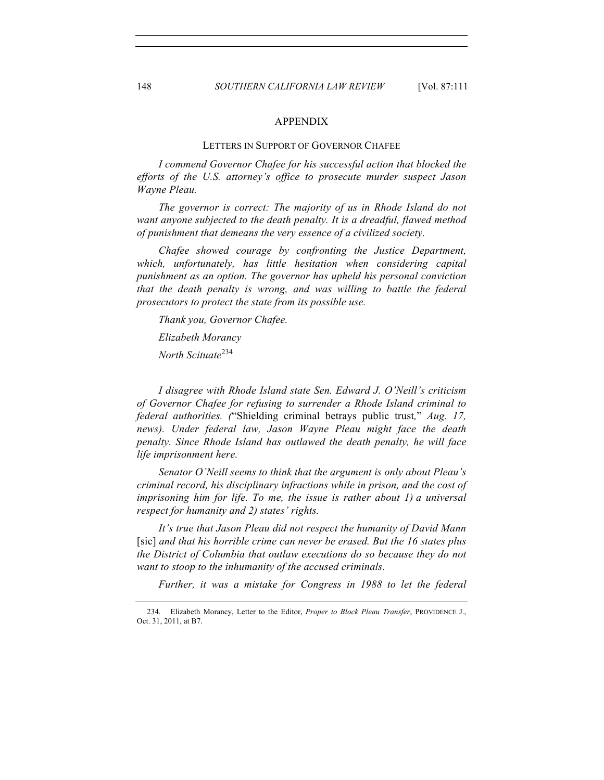#### APPENDIX

#### LETTERS IN SUPPORT OF GOVERNOR CHAFEE

*I commend Governor Chafee for his successful action that blocked the efforts of the U.S. attorney's office to prosecute murder suspect Jason Wayne Pleau.*

*The governor is correct: The majority of us in Rhode Island do not want anyone subjected to the death penalty. It is a dreadful, flawed method of punishment that demeans the very essence of a civilized society.*

*Chafee showed courage by confronting the Justice Department, which, unfortunately, has little hesitation when considering capital punishment as an option. The governor has upheld his personal conviction that the death penalty is wrong, and was willing to battle the federal prosecutors to protect the state from its possible use.*

*Thank you, Governor Chafee.*

*Elizabeth Morancy*

*North Scituate*<sup>234</sup>

*I disagree with Rhode Island state Sen. Edward J. O'Neill's criticism of Governor Chafee for refusing to surrender a Rhode Island criminal to federal authorities. (*"Shielding criminal betrays public trust*,*" *Aug. 17, news). Under federal law, Jason Wayne Pleau might face the death penalty. Since Rhode Island has outlawed the death penalty, he will face life imprisonment here.*

*Senator O'Neill seems to think that the argument is only about Pleau's criminal record, his disciplinary infractions while in prison, and the cost of imprisoning him for life. To me, the issue is rather about 1) a universal respect for humanity and 2) states' rights.*

*It's true that Jason Pleau did not respect the humanity of David Mann*  [sic] *and that his horrible crime can never be erased. But the 16 states plus the District of Columbia that outlaw executions do so because they do not want to stoop to the inhumanity of the accused criminals.*

*Further, it was a mistake for Congress in 1988 to let the federal* 

<sup>234.</sup> Elizabeth Morancy, Letter to the Editor, *Proper to Block Pleau Transfer*, PROVIDENCE J., Oct. 31, 2011, at B7.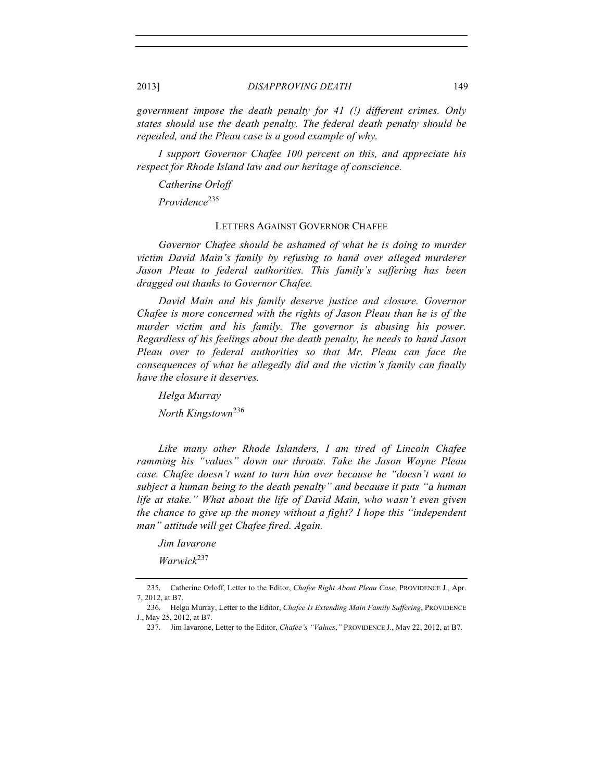*government impose the death penalty for 41 (!) different crimes. Only states should use the death penalty. The federal death penalty should be repealed, and the Pleau case is a good example of why.*

*I support Governor Chafee 100 percent on this, and appreciate his respect for Rhode Island law and our heritage of conscience.*

*Catherine Orloff*

*Providence*<sup>235</sup>

### LETTERS AGAINST GOVERNOR CHAFEE

*Governor Chafee should be ashamed of what he is doing to murder victim David Main's family by refusing to hand over alleged murderer Jason Pleau to federal authorities. This family's suffering has been dragged out thanks to Governor Chafee.*

*David Main and his family deserve justice and closure. Governor Chafee is more concerned with the rights of Jason Pleau than he is of the murder victim and his family. The governor is abusing his power. Regardless of his feelings about the death penalty, he needs to hand Jason Pleau over to federal authorities so that Mr. Pleau can face the consequences of what he allegedly did and the victim's family can finally have the closure it deserves.*

*Helga Murray*

*North Kingstown*<sup>236</sup>

*Like many other Rhode Islanders, I am tired of Lincoln Chafee ramming his "values" down our throats. Take the Jason Wayne Pleau case. Chafee doesn't want to turn him over because he "doesn't want to subject a human being to the death penalty" and because it puts "a human life at stake." What about the life of David Main, who wasn't even given the chance to give up the money without a fight? I hope this "independent man" attitude will get Chafee fired. Again.*

*Jim Iavarone*

*Warwick*<sup>237</sup>

<sup>235.</sup> Catherine Orloff, Letter to the Editor, *Chafee Right About Pleau Case*, PROVIDENCE J., Apr. 7, 2012, at B7.

<sup>236.</sup> Helga Murray, Letter to the Editor, *Chafee Is Extending Main Family Suffering*, PROVIDENCE J., May 25, 2012, at B7.

<sup>237.</sup> Jim Iavarone, Letter to the Editor, *Chafee's "Values*,*"* PROVIDENCE J., May 22, 2012, at B7.